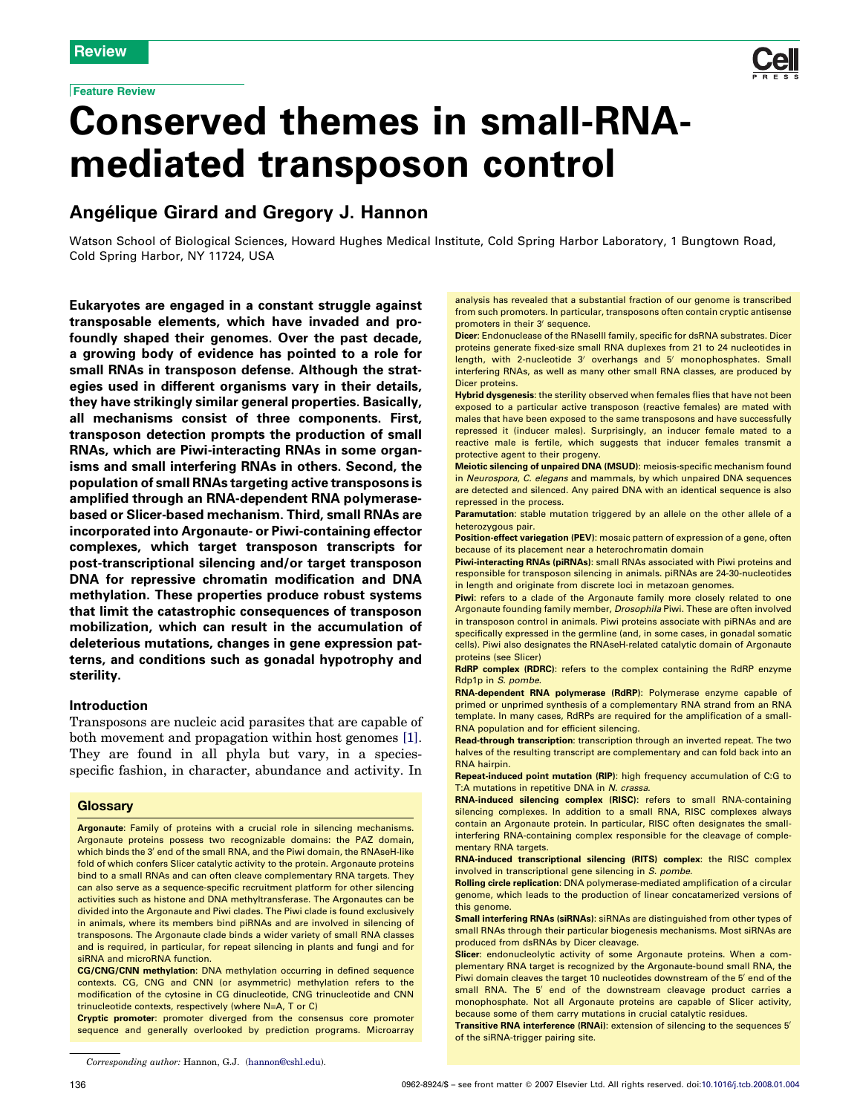#### Feature Review



# Conserved themes in small-RNAmediated transposon control

## Angélique Girard and Gregory J. Hannon

Watson School of Biological Sciences, Howard Hughes Medical Institute, Cold Spring Harbor Laboratory, 1 Bungtown Road, Cold Spring Harbor, NY 11724, USA

Eukaryotes are engaged in a constant struggle against transposable elements, which have invaded and profoundly shaped their genomes. Over the past decade, a growing body of evidence has pointed to a role for small RNAs in transposon defense. Although the strategies used in different organisms vary in their details, they have strikingly similar general properties. Basically, all mechanisms consist of three components. First, transposon detection prompts the production of small RNAs, which are Piwi-interacting RNAs in some organisms and small interfering RNAs in others. Second, the population of small RNAs targeting active transposons is amplified through an RNA-dependent RNA polymerasebased or Slicer-based mechanism. Third, small RNAs are incorporated into Argonaute- or Piwi-containing effector complexes, which target transposon transcripts for post-transcriptional silencing and/or target transposon DNA for repressive chromatin modification and DNA methylation. These properties produce robust systems that limit the catastrophic consequences of transposon mobilization, which can result in the accumulation of deleterious mutations, changes in gene expression patterns, and conditions such as gonadal hypotrophy and sterility.

#### Introduction

Transposons are nucleic acid parasites that are capable of both movement and propagation within host genomes [\[1\]](#page-9-0). They are found in all phyla but vary, in a speciesspecific fashion, in character, abundance and activity. In

#### **Glossary**

Argonaute: Family of proteins with a crucial role in silencing mechanisms. Argonaute proteins possess two recognizable domains: the PAZ domain, which binds the 3' end of the small RNA, and the Piwi domain, the RNAseH-like fold of which confers Slicer catalytic activity to the protein. Argonaute proteins bind to a small RNAs and can often cleave complementary RNA targets. They can also serve as a sequence-specific recruitment platform for other silencing activities such as histone and DNA methyltransferase. The Argonautes can be divided into the Argonaute and Piwi clades. The Piwi clade is found exclusively in animals, where its members bind piRNAs and are involved in silencing of transposons. The Argonaute clade binds a wider variety of small RNA classes and is required, in particular, for repeat silencing in plants and fungi and for siRNA and microRNA function.

CG/CNG/CNN methylation: DNA methylation occurring in defined sequence contexts. CG, CNG and CNN (or asymmetric) methylation refers to the modification of the cytosine in CG dinucleotide, CNG trinucleotide and CNN trinucleotide contexts, respectively (where N=A, T or C)

Cryptic promoter: promoter diverged from the consensus core promoter sequence and generally overlooked by prediction programs. Microarray analysis has revealed that a substantial fraction of our genome is transcribed from such promoters. In particular, transposons often contain cryptic antisense promoters in their 3' sequence.

Dicer: Endonuclease of the RNaseIII family, specific for dsRNA substrates. Dicer proteins generate fixed-size small RNA duplexes from 21 to 24 nucleotides in length, with 2-nucleotide 3' overhangs and 5' monophosphates. Small interfering RNAs, as well as many other small RNA classes, are produced by Dicer proteins.

Hybrid dysgenesis: the sterility observed when females flies that have not been exposed to a particular active transposon (reactive females) are mated with males that have been exposed to the same transposons and have successfully repressed it (inducer males). Surprisingly, an inducer female mated to a reactive male is fertile, which suggests that inducer females transmit a protective agent to their progeny.

Meiotic silencing of unpaired DNA (MSUD): meiosis-specific mechanism found in Neurospora, C. elegans and mammals, by which unpaired DNA sequences are detected and silenced. Any paired DNA with an identical sequence is also repressed in the process.

Paramutation: stable mutation triggered by an allele on the other allele of a heterozygous pair.

Position-effect variegation (PEV): mosaic pattern of expression of a gene, often because of its placement near a heterochromatin domain

Piwi-interacting RNAs (piRNAs): small RNAs associated with Piwi proteins and responsible for transposon silencing in animals. piRNAs are 24-30-nucleotides in length and originate from discrete loci in metazoan genomes

Piwi: refers to a clade of the Argonaute family more closely related to one Argonaute founding family member, Drosophila Piwi. These are often involved in transposon control in animals. Piwi proteins associate with piRNAs and are specifically expressed in the germline (and, in some cases, in gonadal somatic cells). Piwi also designates the RNAseH-related catalytic domain of Argonaute proteins (see Slicer)

RdRP complex (RDRC): refers to the complex containing the RdRP enzyme Rdp1p in S. pombe.

RNA-dependent RNA polymerase (RdRP): Polymerase enzyme capable of primed or unprimed synthesis of a complementary RNA strand from an RNA template. In many cases, RdRPs are required for the amplification of a small-RNA population and for efficient silencing.

Read-through transcription: transcription through an inverted repeat. The two halves of the resulting transcript are complementary and can fold back into an RNA hairpin.

Repeat-induced point mutation (RIP): high frequency accumulation of C:G to T:A mutations in repetitive DNA in N. crassa.

RNA-induced silencing complex (RISC): refers to small RNA-containing silencing complexes. In addition to a small RNA, RISC complexes always contain an Argonaute protein. In particular, RISC often designates the smallinterfering RNA-containing complex responsible for the cleavage of complementary RNA targets.

RNA-induced transcriptional silencing (RITS) complex: the RISC complex involved in transcriptional gene silencing in S. pombe.

Rolling circle replication: DNA polymerase-mediated amplification of a circular genome, which leads to the production of linear concatamerized versions of this genome.

Small interfering RNAs (siRNAs): siRNAs are distinguished from other types of small RNAs through their particular biogenesis mechanisms. Most siRNAs are produced from dsRNAs by Dicer cleavage.

Slicer: endonucleolytic activity of some Argonaute proteins. When a complementary RNA target is recognized by the Argonaute-bound small RNA, the Piwi domain cleaves the target 10 nucleotides downstream of the 5' end of the small RNA. The 5' end of the downstream cleavage product carries a monophosphate. Not all Argonaute proteins are capable of Slicer activity, because some of them carry mutations in crucial catalytic residues.

Transitive RNA interference (RNAi): extension of silencing to the sequences 5' of the siRNA-trigger pairing site.

Corresponding author: Hannon, G.J. ([hannon@cshl.edu](mailto:hannon@cshl.edu)).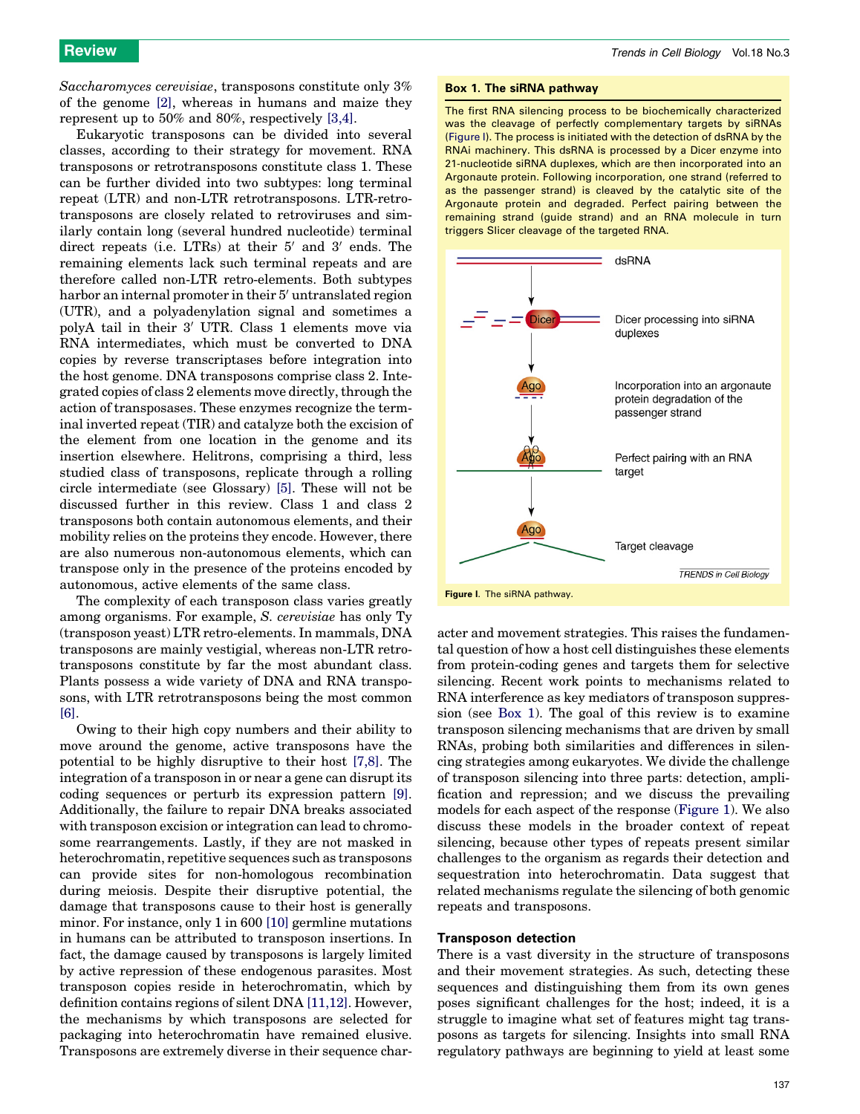<span id="page-1-0"></span>Saccharomyces cerevisiae, transposons constitute only 3% of the genome [\[2\],](#page-9-0) whereas in humans and maize they represent up to 50% and 80%, respectively [\[3,4\].](#page-9-0)

Eukaryotic transposons can be divided into several classes, according to their strategy for movement. RNA transposons or retrotransposons constitute class 1. These can be further divided into two subtypes: long terminal repeat (LTR) and non-LTR retrotransposons. LTR-retrotransposons are closely related to retroviruses and similarly contain long (several hundred nucleotide) terminal direct repeats (i.e. LTRs) at their  $5'$  and  $3'$  ends. The remaining elements lack such terminal repeats and are therefore called non-LTR retro-elements. Both subtypes harbor an internal promoter in their 5' untranslated region (UTR), and a polyadenylation signal and sometimes a polyA tail in their 3' UTR. Class 1 elements move via RNA intermediates, which must be converted to DNA copies by reverse transcriptases before integration into the host genome. DNA transposons comprise class 2. Integrated copies of class 2 elements move directly, through the action of transposases. These enzymes recognize the terminal inverted repeat (TIR) and catalyze both the excision of the element from one location in the genome and its insertion elsewhere. Helitrons, comprising a third, less studied class of transposons, replicate through a rolling circle intermediate (see Glossary) [\[5\]](#page-9-0). These will not be discussed further in this review. Class 1 and class 2 transposons both contain autonomous elements, and their mobility relies on the proteins they encode. However, there are also numerous non-autonomous elements, which can transpose only in the presence of the proteins encoded by autonomous, active elements of the same class.

The complexity of each transposon class varies greatly among organisms. For example, S. cerevisiae has only Ty (transposon yeast) LTR retro-elements. In mammals, DNA transposons are mainly vestigial, whereas non-LTR retrotransposons constitute by far the most abundant class. Plants possess a wide variety of DNA and RNA transposons, with LTR retrotransposons being the most common [\[6\].](#page-9-0)

Owing to their high copy numbers and their ability to move around the genome, active transposons have the potential to be highly disruptive to their host [\[7,8\]](#page-9-0). The integration of a transposon in or near a gene can disrupt its coding sequences or perturb its expression pattern [\[9\]](#page-9-0). Additionally, the failure to repair DNA breaks associated with transposon excision or integration can lead to chromosome rearrangements. Lastly, if they are not masked in heterochromatin, repetitive sequences such as transposons can provide sites for non-homologous recombination during meiosis. Despite their disruptive potential, the damage that transposons cause to their host is generally minor. For instance, only 1 in 600 [\[10\]](#page-9-0) germline mutations in humans can be attributed to transposon insertions. In fact, the damage caused by transposons is largely limited by active repression of these endogenous parasites. Most transposon copies reside in heterochromatin, which by definition contains regions of silent DNA [\[11,12\].](#page-9-0) However, the mechanisms by which transposons are selected for packaging into heterochromatin have remained elusive. Transposons are extremely diverse in their sequence char-

#### Box 1. The siRNA pathway

The first RNA silencing process to be biochemically characterized was the cleavage of perfectly complementary targets by siRNAs (Figure I). The process is initiated with the detection of dsRNA by the RNAi machinery. This dsRNA is processed by a Dicer enzyme into 21-nucleotide siRNA duplexes, which are then incorporated into an Argonaute protein. Following incorporation, one strand (referred to as the passenger strand) is cleaved by the catalytic site of the Argonaute protein and degraded. Perfect pairing between the remaining strand (guide strand) and an RNA molecule in turn triggers Slicer cleavage of the targeted RNA.



acter and movement strategies. This raises the fundamental question of how a host cell distinguishes these elements from protein-coding genes and targets them for selective silencing. Recent work points to mechanisms related to RNA interference as key mediators of transposon suppression (see Box 1). The goal of this review is to examine transposon silencing mechanisms that are driven by small RNAs, probing both similarities and differences in silencing strategies among eukaryotes. We divide the challenge of transposon silencing into three parts: detection, amplification and repression; and we discuss the prevailing models for each aspect of the response [\(Figure 1](#page-2-0)). We also discuss these models in the broader context of repeat silencing, because other types of repeats present similar challenges to the organism as regards their detection and sequestration into heterochromatin. Data suggest that related mechanisms regulate the silencing of both genomic repeats and transposons.

#### Transposon detection

There is a vast diversity in the structure of transposons and their movement strategies. As such, detecting these sequences and distinguishing them from its own genes poses significant challenges for the host; indeed, it is a struggle to imagine what set of features might tag transposons as targets for silencing. Insights into small RNA regulatory pathways are beginning to yield at least some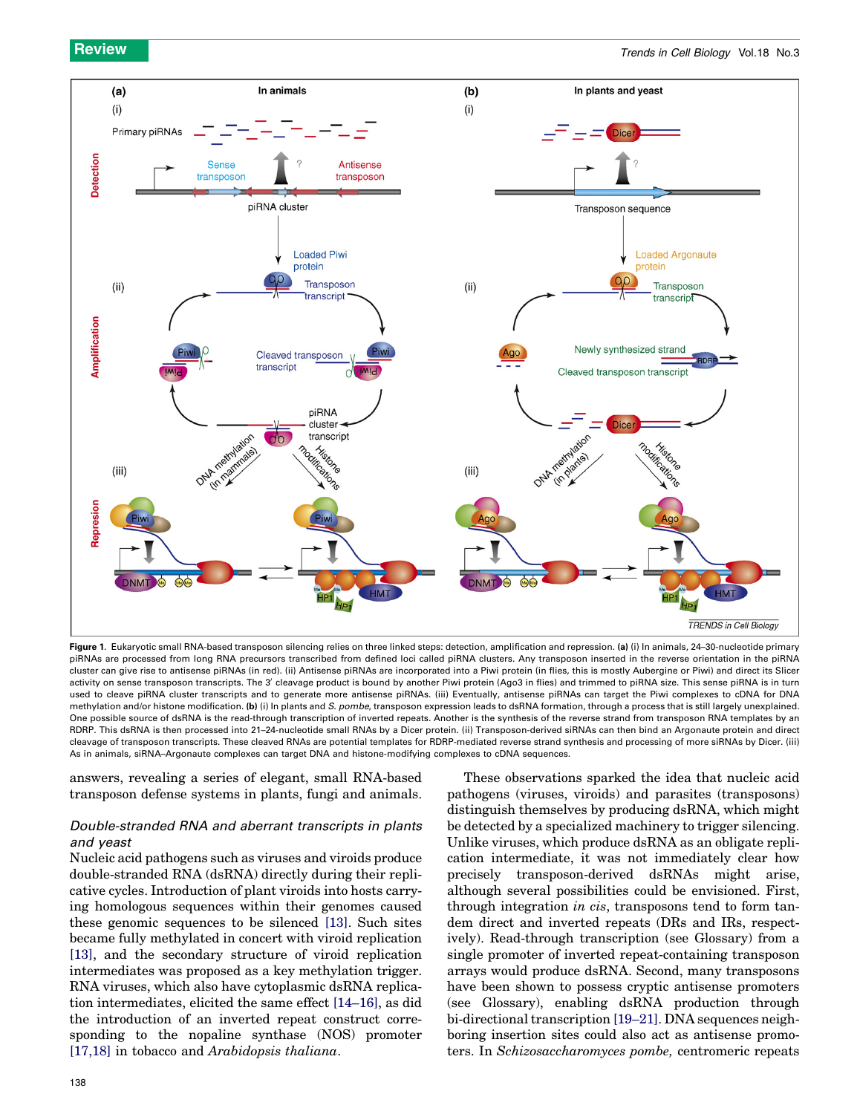<span id="page-2-0"></span>

Figure 1. Eukaryotic small RNA-based transposon silencing relies on three linked steps: detection, amplification and repression, (a) (i) In animals, 24–30-nucleotide primary piRNAs are processed from long RNA precursors transcribed from defined loci called piRNA clusters. Any transposon inserted in the reverse orientation in the piRNA cluster can give rise to antisense piRNAs (in red). (ii) Antisense piRNAs are incorporated into a Piwi protein (in flies, this is mostly Aubergine or Piwi) and direct its Slicer activity on sense transposon transcripts. The 3' cleavage product is bound by another Piwi protein (Ago3 in flies) and trimmed to piRNA size. This sense piRNA is in turn used to cleave piRNA cluster transcripts and to generate more antisense piRNAs. (iii) Eventually, antisense piRNAs can target the Piwi complexes to cDNA for DNA methylation and/or histone modification. (b) (i) In plants and S. pombe, transposon expression leads to dsRNA formation, through a process that is still largely unexplained. One possible source of dsRNA is the read-through transcription of inverted repeats. Another is the synthesis of the reverse strand from transposon RNA templates by an RDRP. This dsRNA is then processed into 21–24-nucleotide small RNAs by a Dicer protein. (ii) Transposon-derived siRNAs can then bind an Argonaute protein and direct cleavage of transposon transcripts. These cleaved RNAs are potential templates for RDRP-mediated reverse strand synthesis and processing of more siRNAs by Dicer. (iii) As in animals, siRNA–Argonaute complexes can target DNA and histone-modifying complexes to cDNA sequences.

answers, revealing a series of elegant, small RNA-based transposon defense systems in plants, fungi and animals.

#### Double-stranded RNA and aberrant transcripts in plants and yeast

Nucleic acid pathogens such as viruses and viroids produce double-stranded RNA (dsRNA) directly during their replicative cycles. Introduction of plant viroids into hosts carrying homologous sequences within their genomes caused these genomic sequences to be silenced [\[13\].](#page-9-0) Such sites became fully methylated in concert with viroid replication [\[13\]](#page-9-0), and the secondary structure of viroid replication intermediates was proposed as a key methylation trigger. RNA viruses, which also have cytoplasmic dsRNA replication intermediates, elicited the same effect [\[14–16\]](#page-9-0), as did the introduction of an inverted repeat construct corresponding to the nopaline synthase (NOS) promoter [\[17,18\]](#page-9-0) in tobacco and Arabidopsis thaliana.

These observations sparked the idea that nucleic acid pathogens (viruses, viroids) and parasites (transposons) distinguish themselves by producing dsRNA, which might be detected by a specialized machinery to trigger silencing. Unlike viruses, which produce dsRNA as an obligate replication intermediate, it was not immediately clear how precisely transposon-derived dsRNAs might arise, although several possibilities could be envisioned. First, through integration in cis, transposons tend to form tandem direct and inverted repeats (DRs and IRs, respectively). Read-through transcription (see Glossary) from a single promoter of inverted repeat-containing transposon arrays would produce dsRNA. Second, many transposons have been shown to possess cryptic antisense promoters (see Glossary), enabling dsRNA production through bi-directional transcription [\[19–21\]](#page-9-0). DNA sequences neighboring insertion sites could also act as antisense promoters. In Schizosaccharomyces pombe, centromeric repeats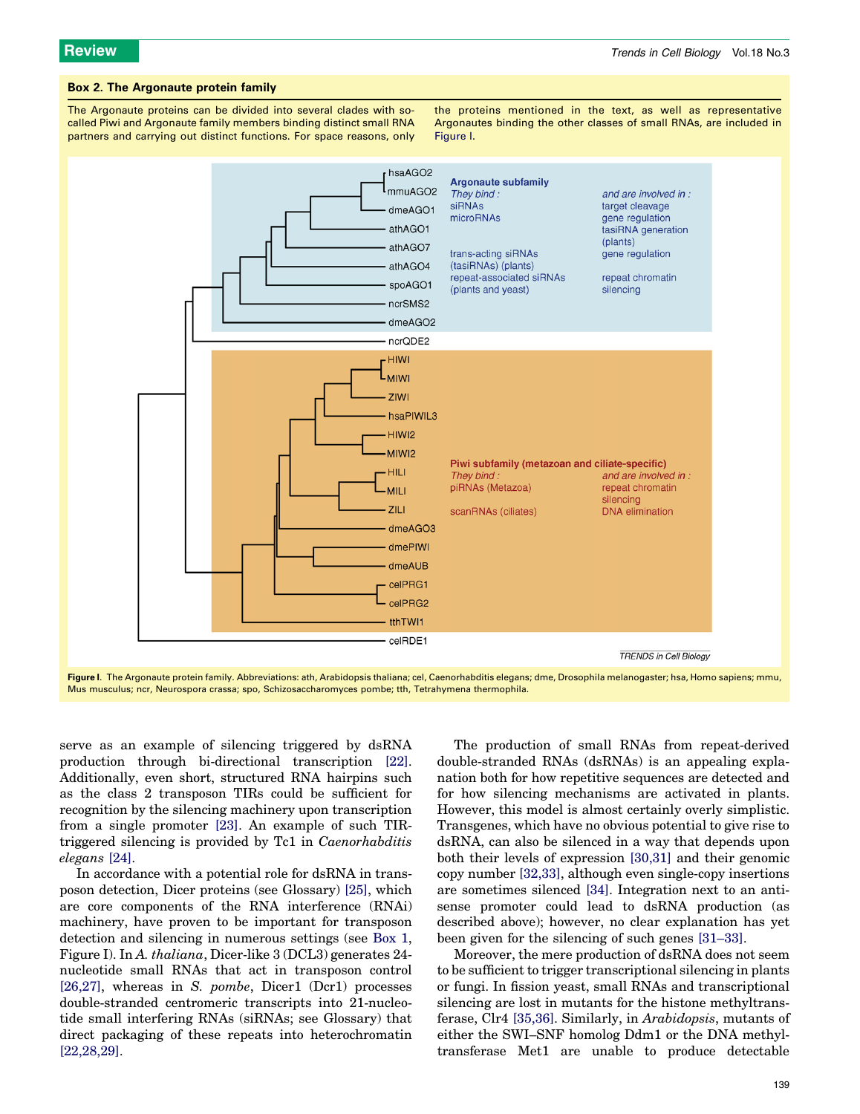#### <span id="page-3-0"></span>Box 2. The Argonaute protein family

The Argonaute proteins can be divided into several clades with socalled Piwi and Argonaute family members binding distinct small RNA partners and carrying out distinct functions. For space reasons, only

the proteins mentioned in the text, as well as representative Argonautes binding the other classes of small RNAs, are included in Figure I.



Figure I. The Argonaute protein family, Abbreviations: ath, Arabidopsis thaliana; cel, Caenorhabditis elegans; dme, Drosophila melanogaster; hsa, Homo sapiens; mmu, Mus musculus; ncr, Neurospora crassa; spo, Schizosaccharomyces pombe; tth, Tetrahymena thermophila.

serve as an example of silencing triggered by dsRNA production through bi-directional transcription [\[22\]](#page-9-0). Additionally, even short, structured RNA hairpins such as the class 2 transposon TIRs could be sufficient for recognition by the silencing machinery upon transcription from a single promoter [\[23\].](#page-9-0) An example of such TIRtriggered silencing is provided by Tc1 in Caenorhabditis elegans [\[24\].](#page-9-0)

In accordance with a potential role for dsRNA in transposon detection, Dicer proteins (see Glossary) [\[25\]](#page-9-0), which are core components of the RNA interference (RNAi) machinery, have proven to be important for transposon detection and silencing in numerous settings (see [Box 1](#page-1-0), Figure I). In A. thaliana, Dicer-like 3 (DCL3) generates 24 nucleotide small RNAs that act in transposon control [\[26,27\]](#page-9-0), whereas in S. pombe, Dicer1 (Dcr1) processes double-stranded centromeric transcripts into 21-nucleotide small interfering RNAs (siRNAs; see Glossary) that direct packaging of these repeats into heterochromatin [\[22,28,29\]](#page-9-0).

The production of small RNAs from repeat-derived double-stranded RNAs (dsRNAs) is an appealing explanation both for how repetitive sequences are detected and for how silencing mechanisms are activated in plants. However, this model is almost certainly overly simplistic. Transgenes, which have no obvious potential to give rise to dsRNA, can also be silenced in a way that depends upon both their levels of expression [\[30,31\]](#page-9-0) and their genomic copy number [\[32,33\]](#page-10-0), although even single-copy insertions are sometimes silenced [\[34\].](#page-10-0) Integration next to an antisense promoter could lead to dsRNA production (as described above); however, no clear explanation has yet been given for the silencing of such genes [\[31–33\].](#page-10-0)

Moreover, the mere production of dsRNA does not seem to be sufficient to trigger transcriptional silencing in plants or fungi. In fission yeast, small RNAs and transcriptional silencing are lost in mutants for the histone methyltransferase, Clr4 [\[35,36\].](#page-10-0) Similarly, in Arabidopsis, mutants of either the SWI–SNF homolog Ddm1 or the DNA methyltransferase Met1 are unable to produce detectable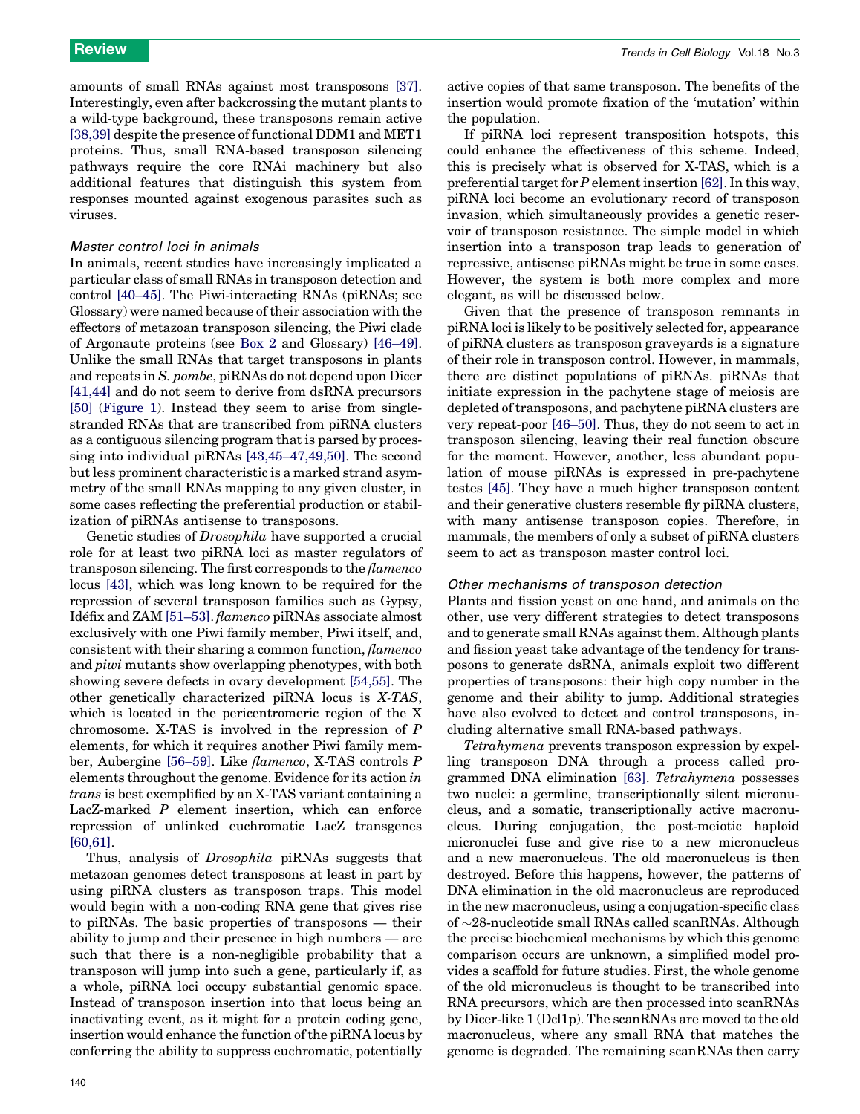amounts of small RNAs against most transposons [\[37\]](#page-10-0). Interestingly, even after backcrossing the mutant plants to a wild-type background, these transposons remain active [\[38,39\]](#page-10-0) despite the presence of functional DDM1 and MET1 proteins. Thus, small RNA-based transposon silencing pathways require the core RNAi machinery but also additional features that distinguish this system from responses mounted against exogenous parasites such as viruses.

#### Master control loci in animals

In animals, recent studies have increasingly implicated a particular class of small RNAs in transposon detection and control [\[40–45\]](#page-10-0). The Piwi-interacting RNAs (piRNAs; see Glossary) were named because of their association with the effectors of metazoan transposon silencing, the Piwi clade of Argonaute proteins (see [Box 2](#page-3-0) and Glossary) [\[46–49\]](#page-10-0). Unlike the small RNAs that target transposons in plants and repeats in S. pombe, piRNAs do not depend upon Dicer [\[41,44\]](#page-10-0) and do not seem to derive from dsRNA precursors [\[50\]](#page-10-0) ([Figure 1\)](#page-2-0). Instead they seem to arise from singlestranded RNAs that are transcribed from piRNA clusters as a contiguous silencing program that is parsed by processing into individual piRNAs [\[43,45–47,49,50\]](#page-10-0). The second but less prominent characteristic is a marked strand asymmetry of the small RNAs mapping to any given cluster, in some cases reflecting the preferential production or stabilization of piRNAs antisense to transposons.

Genetic studies of Drosophila have supported a crucial role for at least two piRNA loci as master regulators of transposon silencing. The first corresponds to the flamenco locus [\[43\],](#page-10-0) which was long known to be required for the repression of several transposon families such as Gypsy, Idéfix and ZAM [\[51–53\].](#page-10-0) *flamenco* piRNAs associate almost exclusively with one Piwi family member, Piwi itself, and, consistent with their sharing a common function, flamenco and piwi mutants show overlapping phenotypes, with both showing severe defects in ovary development [\[54,55\]](#page-10-0). The other genetically characterized piRNA locus is X-TAS, which is located in the pericentromeric region of the X chromosome. X-TAS is involved in the repression of P elements, for which it requires another Piwi family member, Aubergine [\[56–59\].](#page-10-0) Like flamenco, X-TAS controls P elements throughout the genome. Evidence for its action in trans is best exemplified by an X-TAS variant containing a LacZ-marked P element insertion, which can enforce repression of unlinked euchromatic LacZ transgenes [\[60,61\]](#page-10-0).

Thus, analysis of *Drosophila* piRNAs suggests that metazoan genomes detect transposons at least in part by using piRNA clusters as transposon traps. This model would begin with a non-coding RNA gene that gives rise to piRNAs. The basic properties of transposons — their ability to jump and their presence in high numbers — are such that there is a non-negligible probability that a transposon will jump into such a gene, particularly if, as a whole, piRNA loci occupy substantial genomic space. Instead of transposon insertion into that locus being an inactivating event, as it might for a protein coding gene, insertion would enhance the function of the piRNA locus by conferring the ability to suppress euchromatic, potentially

If piRNA loci represent transposition hotspots, this could enhance the effectiveness of this scheme. Indeed, this is precisely what is observed for X-TAS, which is a preferential target for  $P$  element insertion [\[62\].](#page-10-0) In this way, piRNA loci become an evolutionary record of transposon invasion, which simultaneously provides a genetic reservoir of transposon resistance. The simple model in which insertion into a transposon trap leads to generation of repressive, antisense piRNAs might be true in some cases. However, the system is both more complex and more elegant, as will be discussed below.

Given that the presence of transposon remnants in piRNA loci is likely to be positively selected for, appearance of piRNA clusters as transposon graveyards is a signature of their role in transposon control. However, in mammals, there are distinct populations of piRNAs. piRNAs that initiate expression in the pachytene stage of meiosis are depleted of transposons, and pachytene piRNA clusters are very repeat-poor [\[46–50\]](#page-10-0). Thus, they do not seem to act in transposon silencing, leaving their real function obscure for the moment. However, another, less abundant population of mouse piRNAs is expressed in pre-pachytene testes [\[45\].](#page-10-0) They have a much higher transposon content and their generative clusters resemble fly piRNA clusters, with many antisense transposon copies. Therefore, in mammals, the members of only a subset of piRNA clusters seem to act as transposon master control loci.

### Other mechanisms of transposon detection

Plants and fission yeast on one hand, and animals on the other, use very different strategies to detect transposons and to generate small RNAs against them. Although plants and fission yeast take advantage of the tendency for transposons to generate dsRNA, animals exploit two different properties of transposons: their high copy number in the genome and their ability to jump. Additional strategies have also evolved to detect and control transposons, including alternative small RNA-based pathways.

Tetrahymena prevents transposon expression by expelling transposon DNA through a process called programmed DNA elimination [\[63\]](#page-10-0). Tetrahymena possesses two nuclei: a germline, transcriptionally silent micronucleus, and a somatic, transcriptionally active macronucleus. During conjugation, the post-meiotic haploid micronuclei fuse and give rise to a new micronucleus and a new macronucleus. The old macronucleus is then destroyed. Before this happens, however, the patterns of DNA elimination in the old macronucleus are reproduced in the new macronucleus, using a conjugation-specific class of  $\sim$ 28-nucleotide small RNAs called scanRNAs. Although the precise biochemical mechanisms by which this genome comparison occurs are unknown, a simplified model provides a scaffold for future studies. First, the whole genome of the old micronucleus is thought to be transcribed into RNA precursors, which are then processed into scanRNAs by Dicer-like 1 (Dcl1p). The scanRNAs are moved to the old macronucleus, where any small RNA that matches the genome is degraded. The remaining scanRNAs then carry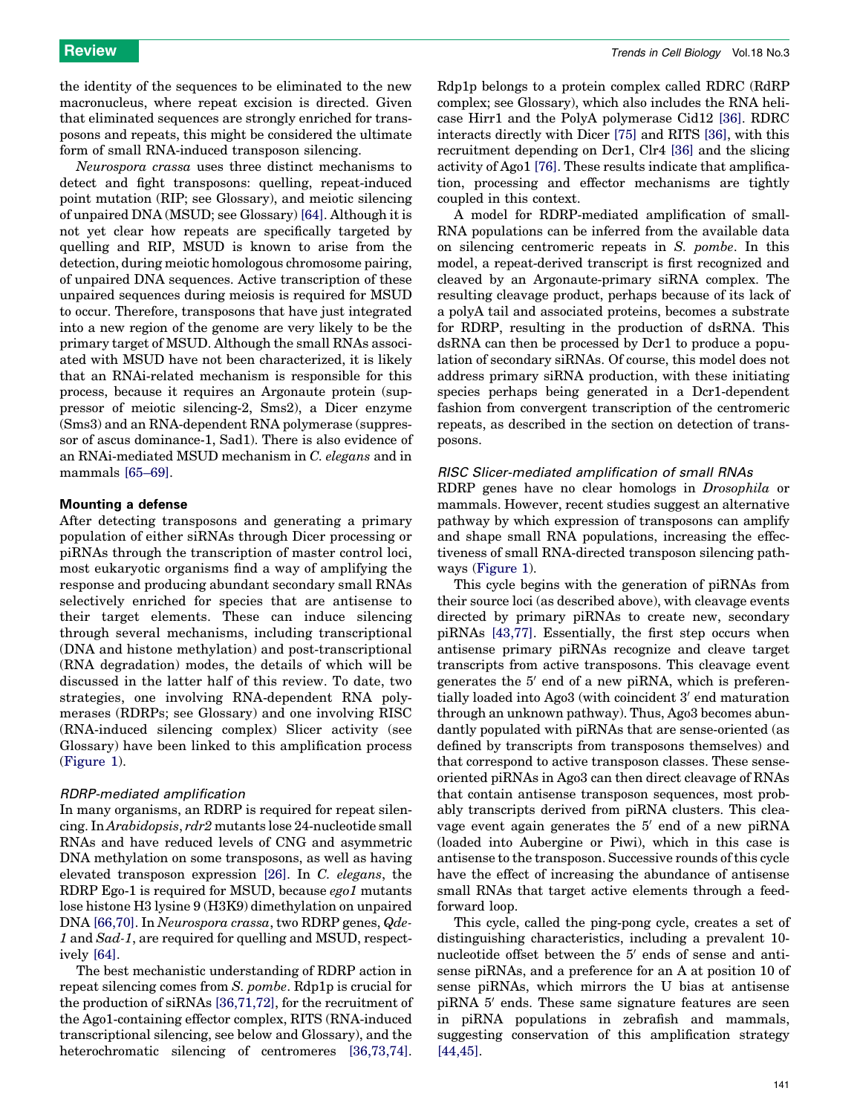the identity of the sequences to be eliminated to the new macronucleus, where repeat excision is directed. Given that eliminated sequences are strongly enriched for transposons and repeats, this might be considered the ultimate form of small RNA-induced transposon silencing.

Neurospora crassa uses three distinct mechanisms to detect and fight transposons: quelling, repeat-induced point mutation (RIP; see Glossary), and meiotic silencing of unpaired DNA (MSUD; see Glossary) [\[64\].](#page-10-0) Although it is not yet clear how repeats are specifically targeted by quelling and RIP, MSUD is known to arise from the detection, during meiotic homologous chromosome pairing, of unpaired DNA sequences. Active transcription of these unpaired sequences during meiosis is required for MSUD to occur. Therefore, transposons that have just integrated into a new region of the genome are very likely to be the primary target of MSUD. Although the small RNAs associated with MSUD have not been characterized, it is likely that an RNAi-related mechanism is responsible for this process, because it requires an Argonaute protein (suppressor of meiotic silencing-2, Sms2), a Dicer enzyme (Sms3) and an RNA-dependent RNA polymerase (suppressor of ascus dominance-1, Sad1). There is also evidence of an RNAi-mediated MSUD mechanism in C. elegans and in mammals [\[65–69\].](#page-10-0)

#### Mounting a defense

After detecting transposons and generating a primary population of either siRNAs through Dicer processing or piRNAs through the transcription of master control loci, most eukaryotic organisms find a way of amplifying the response and producing abundant secondary small RNAs selectively enriched for species that are antisense to their target elements. These can induce silencing through several mechanisms, including transcriptional (DNA and histone methylation) and post-transcriptional (RNA degradation) modes, the details of which will be discussed in the latter half of this review. To date, two strategies, one involving RNA-dependent RNA polymerases (RDRPs; see Glossary) and one involving RISC (RNA-induced silencing complex) Slicer activity (see Glossary) have been linked to this amplification process ([Figure 1](#page-2-0)).

#### RDRP-mediated amplification

In many organisms, an RDRP is required for repeat silencing. In Arabidopsis, rdr2 mutants lose 24-nucleotide small RNAs and have reduced levels of CNG and asymmetric DNA methylation on some transposons, as well as having elevated transposon expression [\[26\]](#page-9-0). In C. elegans, the RDRP Ego-1 is required for MSUD, because ego1 mutants lose histone H3 lysine 9 (H3K9) dimethylation on unpaired DNA [\[66,70\]](#page-10-0). In Neurospora crassa, two RDRP genes, Qde-1 and Sad-1, are required for quelling and MSUD, respectively [\[64\].](#page-10-0)

The best mechanistic understanding of RDRP action in repeat silencing comes from S. pombe. Rdp1p is crucial for the production of siRNAs [\[36,71,72\],](#page-10-0) for the recruitment of the Ago1-containing effector complex, RITS (RNA-induced transcriptional silencing, see below and Glossary), and the heterochromatic silencing of centromeres [\[36,73,74\]](#page-10-0).

Rdp1p belongs to a protein complex called RDRC (RdRP complex; see Glossary), which also includes the RNA helicase Hirr1 and the PolyA polymerase Cid12 [\[36\].](#page-10-0) RDRC interacts directly with Dicer [\[75\]](#page-10-0) and RITS [\[36\]](#page-10-0), with this recruitment depending on Dcr1, Clr4 [\[36\]](#page-10-0) and the slicing activity of Ago1 [\[76\]](#page-10-0). These results indicate that amplification, processing and effector mechanisms are tightly coupled in this context.

A model for RDRP-mediated amplification of small-RNA populations can be inferred from the available data on silencing centromeric repeats in S. pombe. In this model, a repeat-derived transcript is first recognized and cleaved by an Argonaute-primary siRNA complex. The resulting cleavage product, perhaps because of its lack of a polyA tail and associated proteins, becomes a substrate for RDRP, resulting in the production of dsRNA. This dsRNA can then be processed by Dcr1 to produce a population of secondary siRNAs. Of course, this model does not address primary siRNA production, with these initiating species perhaps being generated in a Dcr1-dependent fashion from convergent transcription of the centromeric repeats, as described in the section on detection of transposons.

#### RISC Slicer-mediated amplification of small RNAs

RDRP genes have no clear homologs in Drosophila or mammals. However, recent studies suggest an alternative pathway by which expression of transposons can amplify and shape small RNA populations, increasing the effectiveness of small RNA-directed transposon silencing pathways ([Figure 1\)](#page-2-0).

This cycle begins with the generation of piRNAs from their source loci (as described above), with cleavage events directed by primary piRNAs to create new, secondary piRNAs [\[43,77\].](#page-10-0) Essentially, the first step occurs when antisense primary piRNAs recognize and cleave target transcripts from active transposons. This cleavage event generates the  $5'$  end of a new piRNA, which is preferentially loaded into  $Ago3$  (with coincident  $3'$  end maturation through an unknown pathway). Thus, Ago3 becomes abundantly populated with piRNAs that are sense-oriented (as defined by transcripts from transposons themselves) and that correspond to active transposon classes. These senseoriented piRNAs in Ago3 can then direct cleavage of RNAs that contain antisense transposon sequences, most probably transcripts derived from piRNA clusters. This cleavage event again generates the  $5'$  end of a new piRNA (loaded into Aubergine or Piwi), which in this case is antisense to the transposon. Successive rounds of this cycle have the effect of increasing the abundance of antisense small RNAs that target active elements through a feedforward loop.

This cycle, called the ping-pong cycle, creates a set of distinguishing characteristics, including a prevalent 10 nucleotide offset between the 5' ends of sense and antisense piRNAs, and a preference for an A at position 10 of sense piRNAs, which mirrors the U bias at antisense piRNA  $5'$  ends. These same signature features are seen in piRNA populations in zebrafish and mammals, suggesting conservation of this amplification strategy [\[44,45\]](#page-10-0).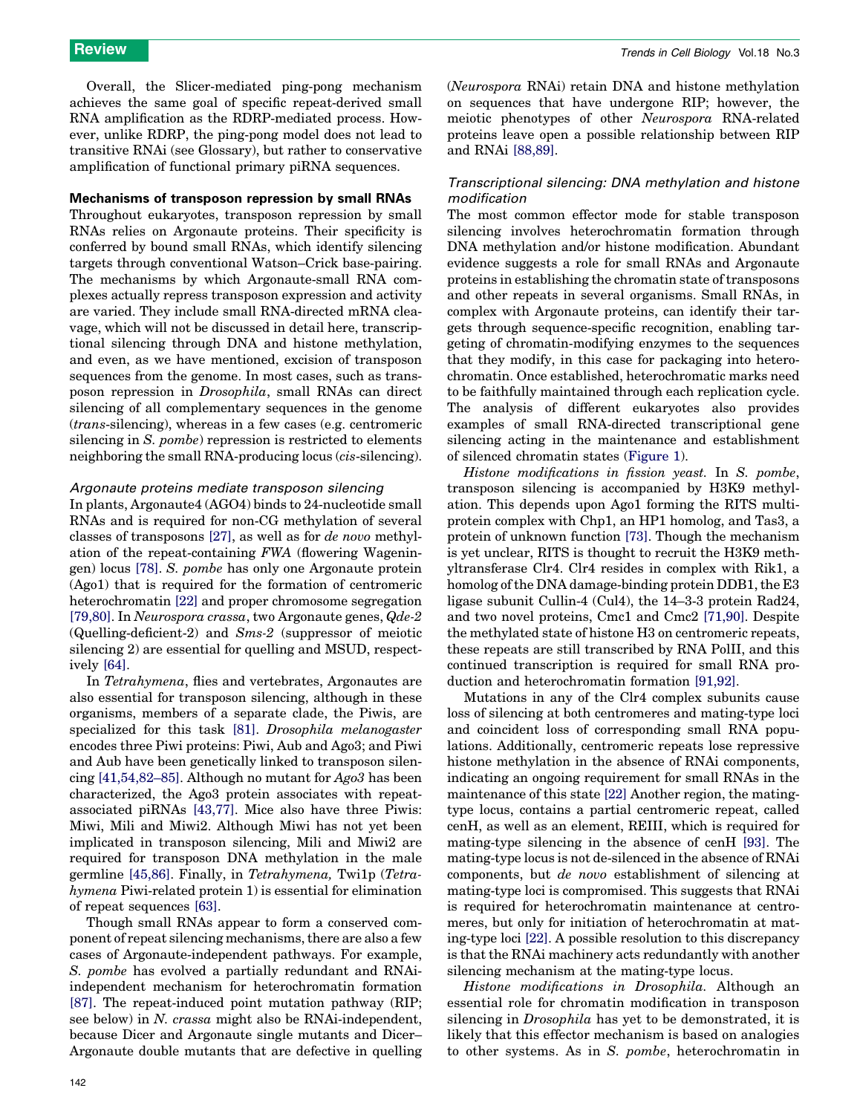Overall, the Slicer-mediated ping-pong mechanism achieves the same goal of specific repeat-derived small RNA amplification as the RDRP-mediated process. However, unlike RDRP, the ping-pong model does not lead to transitive RNAi (see Glossary), but rather to conservative amplification of functional primary piRNA sequences.

#### Mechanisms of transposon repression by small RNAs

Throughout eukaryotes, transposon repression by small RNAs relies on Argonaute proteins. Their specificity is conferred by bound small RNAs, which identify silencing targets through conventional Watson–Crick base-pairing. The mechanisms by which Argonaute-small RNA complexes actually repress transposon expression and activity are varied. They include small RNA-directed mRNA cleavage, which will not be discussed in detail here, transcriptional silencing through DNA and histone methylation, and even, as we have mentioned, excision of transposon sequences from the genome. In most cases, such as transposon repression in Drosophila, small RNAs can direct silencing of all complementary sequences in the genome (trans-silencing), whereas in a few cases (e.g. centromeric silencing in S. pombe) repression is restricted to elements neighboring the small RNA-producing locus (cis-silencing).

#### Argonaute proteins mediate transposon silencing

In plants, Argonaute4 (AGO4) binds to 24-nucleotide small RNAs and is required for non-CG methylation of several classes of transposons [\[27\]](#page-9-0), as well as for de novo methylation of the repeat-containing FWA (flowering Wageningen) locus [\[78\].](#page-10-0) S. pombe has only one Argonaute protein (Ago1) that is required for the formation of centromeric heterochromatin [\[22\]](#page-9-0) and proper chromosome segregation [\[79,80\]](#page-10-0). In Neurospora crassa, two Argonaute genes, Qde-2 (Quelling-deficient-2) and Sms-2 (suppressor of meiotic silencing 2) are essential for quelling and MSUD, respectively [\[64\]](#page-10-0).

In Tetrahymena, flies and vertebrates, Argonautes are also essential for transposon silencing, although in these organisms, members of a separate clade, the Piwis, are specialized for this task [\[81\]](#page-10-0). Drosophila melanogaster encodes three Piwi proteins: Piwi, Aub and Ago3; and Piwi and Aub have been genetically linked to transposon silencing [\[41,54,82–85\]](#page-10-0). Although no mutant for Ago3 has been characterized, the Ago3 protein associates with repeatassociated piRNAs [\[43,77\]](#page-10-0). Mice also have three Piwis: Miwi, Mili and Miwi2. Although Miwi has not yet been implicated in transposon silencing, Mili and Miwi2 are required for transposon DNA methylation in the male germline [\[45,86\]](#page-10-0). Finally, in Tetrahymena, Twi1p (Tetrahymena Piwi-related protein 1) is essential for elimination of repeat sequences [\[63\].](#page-10-0)

Though small RNAs appear to form a conserved component of repeat silencing mechanisms, there are also a few cases of Argonaute-independent pathways. For example, S. pombe has evolved a partially redundant and RNAiindependent mechanism for heterochromatin formation [\[87\]](#page-11-0). The repeat-induced point mutation pathway (RIP; see below) in N. crassa might also be RNAi-independent, because Dicer and Argonaute single mutants and Dicer– Argonaute double mutants that are defective in quelling (Neurospora RNAi) retain DNA and histone methylation on sequences that have undergone RIP; however, the meiotic phenotypes of other Neurospora RNA-related proteins leave open a possible relationship between RIP and RNAi [\[88,89\]](#page-11-0).

### Transcriptional silencing: DNA methylation and histone modification

The most common effector mode for stable transposon silencing involves heterochromatin formation through DNA methylation and/or histone modification. Abundant evidence suggests a role for small RNAs and Argonaute proteins in establishing the chromatin state of transposons and other repeats in several organisms. Small RNAs, in complex with Argonaute proteins, can identify their targets through sequence-specific recognition, enabling targeting of chromatin-modifying enzymes to the sequences that they modify, in this case for packaging into heterochromatin. Once established, heterochromatic marks need to be faithfully maintained through each replication cycle. The analysis of different eukaryotes also provides examples of small RNA-directed transcriptional gene silencing acting in the maintenance and establishment of silenced chromatin states ([Figure 1\)](#page-2-0).

Histone modifications in fission yeast. In S. pombe, transposon silencing is accompanied by H3K9 methylation. This depends upon Ago1 forming the RITS multiprotein complex with Chp1, an HP1 homolog, and Tas3, a protein of unknown function [\[73\].](#page-10-0) Though the mechanism is yet unclear, RITS is thought to recruit the H3K9 methyltransferase Clr4. Clr4 resides in complex with Rik1, a homolog of the DNA damage-binding protein DDB1, the E3 ligase subunit Cullin-4 (Cul4), the 14–3-3 protein Rad24, and two novel proteins, Cmc1 and Cmc2 [\[71,90\].](#page-10-0) Despite the methylated state of histone H3 on centromeric repeats, these repeats are still transcribed by RNA PolII, and this continued transcription is required for small RNA production and heterochromatin formation [\[91,92\]](#page-11-0).

Mutations in any of the Clr4 complex subunits cause loss of silencing at both centromeres and mating-type loci and coincident loss of corresponding small RNA populations. Additionally, centromeric repeats lose repressive histone methylation in the absence of RNAi components, indicating an ongoing requirement for small RNAs in the maintenance of this state [\[22\]](#page-9-0) Another region, the matingtype locus, contains a partial centromeric repeat, called cenH, as well as an element, REIII, which is required for mating-type silencing in the absence of cenH [\[93\].](#page-11-0) The mating-type locus is not de-silenced in the absence of RNAi components, but de novo establishment of silencing at mating-type loci is compromised. This suggests that RNAi is required for heterochromatin maintenance at centromeres, but only for initiation of heterochromatin at mating-type loci [\[22\].](#page-9-0) A possible resolution to this discrepancy is that the RNAi machinery acts redundantly with another silencing mechanism at the mating-type locus.

Histone modifications in Drosophila. Although an essential role for chromatin modification in transposon silencing in *Drosophila* has yet to be demonstrated, it is likely that this effector mechanism is based on analogies to other systems. As in S. pombe, heterochromatin in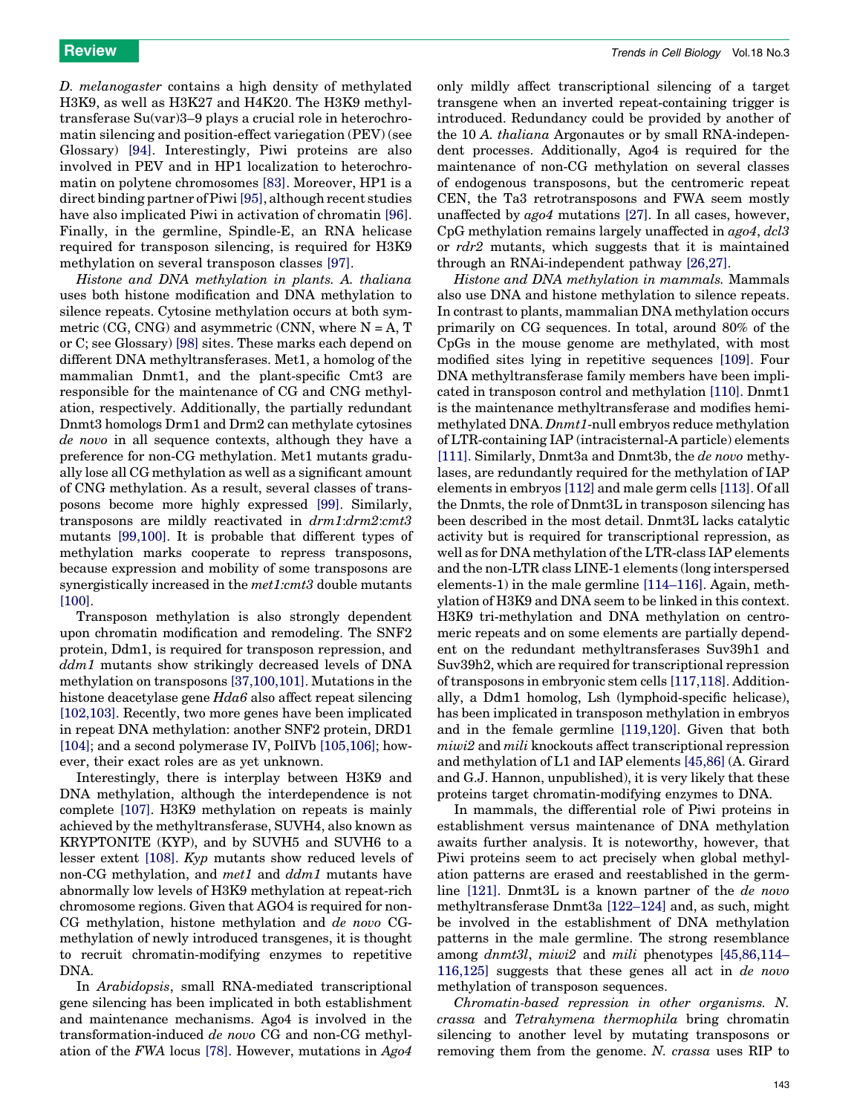D. melanogaster contains a high density of methylated H3K9, as well as H3K27 and H4K20. The H3K9 methyltransferase Su(var)3–9 plays a crucial role in heterochromatin silencing and position-effect variegation (PEV) (see Glossary) [\[94\]](#page-11-0). Interestingly, Piwi proteins are also involved in PEV and in HP1 localization to heterochromatin on polytene chromosomes [\[83\].](#page-11-0) Moreover, HP1 is a direct binding partner of Piwi [\[95\],](#page-11-0) although recent studies have also implicated Piwi in activation of chromatin [\[96\]](#page-11-0). Finally, in the germline, Spindle-E, an RNA helicase required for transposon silencing, is required for H3K9 methylation on several transposon classes [\[97\].](#page-11-0)

Histone and DNA methylation in plants. A. thaliana uses both histone modification and DNA methylation to silence repeats. Cytosine methylation occurs at both symmetric (CG, CNG) and asymmetric (CNN, where  $N = A$ , T or C; see Glossary) [\[98\]](#page-11-0) sites. These marks each depend on different DNA methyltransferases. Met1, a homolog of the mammalian Dnmt1, and the plant-specific Cmt3 are responsible for the maintenance of CG and CNG methylation, respectively. Additionally, the partially redundant Dnmt3 homologs Drm1 and Drm2 can methylate cytosines de novo in all sequence contexts, although they have a preference for non-CG methylation. Met1 mutants gradually lose all CG methylation as well as a significant amount of CNG methylation. As a result, several classes of transposons become more highly expressed [\[99\]](#page-11-0). Similarly, transposons are mildly reactivated in drm1:drm2:cmt3 mutants [\[99,100\].](#page-11-0) It is probable that different types of methylation marks cooperate to repress transposons, because expression and mobility of some transposons are synergistically increased in the met1:cmt3 double mutants [\[100\]](#page-11-0).

Transposon methylation is also strongly dependent upon chromatin modification and remodeling. The SNF2 protein, Ddm1, is required for transposon repression, and ddm1 mutants show strikingly decreased levels of DNA methylation on transposons [\[37,100,101\]](#page-10-0). Mutations in the histone deacetylase gene  $Hda6$  also affect repeat silencing [\[102,103\].](#page-11-0) Recently, two more genes have been implicated in repeat DNA methylation: another SNF2 protein, DRD1 [\[104\]](#page-11-0); and a second polymerase IV, PolIVb [\[105,106\];](#page-11-0) however, their exact roles are as yet unknown.

Interestingly, there is interplay between H3K9 and DNA methylation, although the interdependence is not complete [\[107\]](#page-11-0). H3K9 methylation on repeats is mainly achieved by the methyltransferase, SUVH4, also known as KRYPTONITE (KYP), and by SUVH5 and SUVH6 to a lesser extent [\[108\].](#page-11-0) Kyp mutants show reduced levels of non-CG methylation, and *met1* and *ddm1* mutants have abnormally low levels of H3K9 methylation at repeat-rich chromosome regions. Given that AGO4 is required for non-CG methylation, histone methylation and de novo CGmethylation of newly introduced transgenes, it is thought to recruit chromatin-modifying enzymes to repetitive DNA.

In Arabidopsis, small RNA-mediated transcriptional gene silencing has been implicated in both establishment and maintenance mechanisms. Ago4 is involved in the transformation-induced de novo CG and non-CG methylation of the FWA locus [\[78\].](#page-10-0) However, mutations in Ago4

only mildly affect transcriptional silencing of a target transgene when an inverted repeat-containing trigger is introduced. Redundancy could be provided by another of the 10 A. thaliana Argonautes or by small RNA-independent processes. Additionally, Ago4 is required for the maintenance of non-CG methylation on several classes of endogenous transposons, but the centromeric repeat CEN, the Ta3 retrotransposons and FWA seem mostly unaffected by ago4 mutations [\[27\].](#page-9-0) In all cases, however,  $CpG$  methylation remains largely unaffected in  $ago4, dcl3$ or rdr2 mutants, which suggests that it is maintained through an RNAi-independent pathway [\[26,27\]](#page-9-0).

Histone and DNA methylation in mammals. Mammals also use DNA and histone methylation to silence repeats. In contrast to plants, mammalian DNA methylation occurs primarily on CG sequences. In total, around 80% of the CpGs in the mouse genome are methylated, with most modified sites lying in repetitive sequences [\[109\]](#page-11-0). Four DNA methyltransferase family members have been implicated in transposon control and methylation [\[110\]](#page-11-0). Dnmt1 is the maintenance methyltransferase and modifies hemimethylated DNA. Dnmt1-null embryos reduce methylation of LTR-containing IAP (intracisternal-A particle) elements [\[111\]](#page-11-0). Similarly, Dnmt3a and Dnmt3b, the *de novo* methylases, are redundantly required for the methylation of IAP elements in embryos [\[112\]](#page-11-0) and male germ cells [\[113\].](#page-11-0) Of all the Dnmts, the role of Dnmt3L in transposon silencing has been described in the most detail. Dnmt3L lacks catalytic activity but is required for transcriptional repression, as well as for DNA methylation of the LTR-class IAP elements and the non-LTR class LINE-1 elements (long interspersed elements-1) in the male germline [\[114–116\].](#page-11-0) Again, methylation of H3K9 and DNA seem to be linked in this context. H3K9 tri-methylation and DNA methylation on centromeric repeats and on some elements are partially dependent on the redundant methyltransferases Suv39h1 and Suv39h2, which are required for transcriptional repression of transposons in embryonic stem cells [\[117,118\]](#page-11-0). Additionally, a Ddm1 homolog, Lsh (lymphoid-specific helicase), has been implicated in transposon methylation in embryos and in the female germline [\[119,120\]](#page-11-0). Given that both miwi2 and mili knockouts affect transcriptional repression and methylation of L1 and IAP elements [\[45,86\]](#page-10-0) (A. Girard and G.J. Hannon, unpublished), it is very likely that these proteins target chromatin-modifying enzymes to DNA.

In mammals, the differential role of Piwi proteins in establishment versus maintenance of DNA methylation awaits further analysis. It is noteworthy, however, that Piwi proteins seem to act precisely when global methylation patterns are erased and reestablished in the germline [\[121\]](#page-11-0). Dnmt3L is a known partner of the de novo methyltransferase Dnmt3a [\[122–124\]](#page-11-0) and, as such, might be involved in the establishment of DNA methylation patterns in the male germline. The strong resemblance among dnmt3l, miwi2 and mili phenotypes [\[45,86,114–](#page-10-0) [116,125\]](#page-10-0) suggests that these genes all act in de novo methylation of transposon sequences.

Chromatin-based repression in other organisms. N. crassa and Tetrahymena thermophila bring chromatin silencing to another level by mutating transposons or removing them from the genome. N. crassa uses RIP to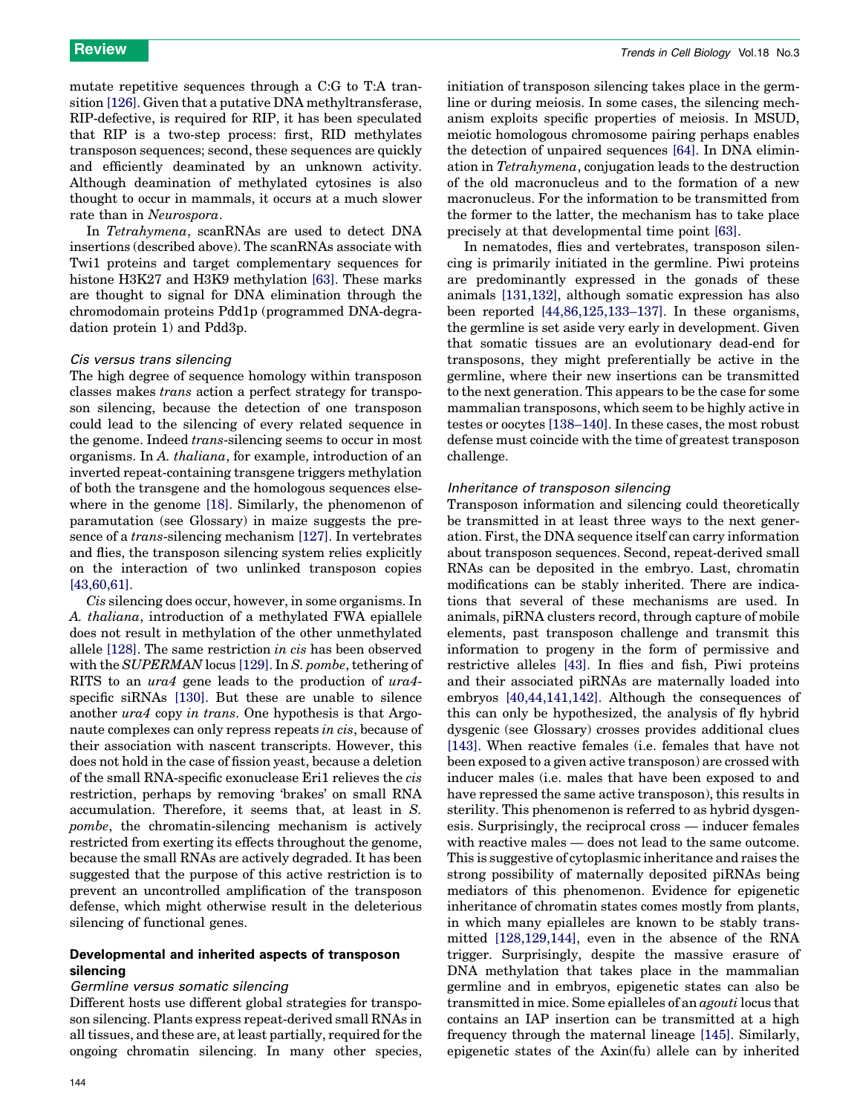mutate repetitive sequences through a C:G to T:A transition [\[126\].](#page-11-0) Given that a putative DNA methyltransferase, RIP-defective, is required for RIP, it has been speculated that RIP is a two-step process: first, RID methylates transposon sequences; second, these sequences are quickly and efficiently deaminated by an unknown activity. Although deamination of methylated cytosines is also thought to occur in mammals, it occurs at a much slower rate than in Neurospora.

In Tetrahymena, scanRNAs are used to detect DNA insertions (described above). The scanRNAs associate with Twi1 proteins and target complementary sequences for histone H3K27 and H3K9 methylation [\[63\].](#page-10-0) These marks are thought to signal for DNA elimination through the chromodomain proteins Pdd1p (programmed DNA-degradation protein 1) and Pdd3p.

#### Cis versus trans silencing

The high degree of sequence homology within transposon classes makes trans action a perfect strategy for transposon silencing, because the detection of one transposon could lead to the silencing of every related sequence in the genome. Indeed trans-silencing seems to occur in most organisms. In A. thaliana, for example, introduction of an inverted repeat-containing transgene triggers methylation of both the transgene and the homologous sequences elsewhere in the genome [\[18\]](#page-9-0). Similarly, the phenomenon of paramutation (see Glossary) in maize suggests the presence of a trans-silencing mechanism [\[127\]](#page-11-0). In vertebrates and flies, the transposon silencing system relies explicitly on the interaction of two unlinked transposon copies [\[43,60,61\]](#page-10-0).

Cis silencing does occur, however, in some organisms. In A. thaliana, introduction of a methylated FWA epiallele does not result in methylation of the other unmethylated allele [\[128\].](#page-11-0) The same restriction in cis has been observed with the SUPERMAN locus [\[129\].](#page-11-0) In S. pombe, tethering of RITS to an ura4 gene leads to the production of ura4 specific siRNAs [\[130\]](#page-11-0). But these are unable to silence another ura4 copy in trans. One hypothesis is that Argonaute complexes can only repress repeats in cis, because of their association with nascent transcripts. However, this does not hold in the case of fission yeast, because a deletion of the small RNA-specific exonuclease Eri1 relieves the cis restriction, perhaps by removing 'brakes' on small RNA accumulation. Therefore, it seems that, at least in S. pombe, the chromatin-silencing mechanism is actively restricted from exerting its effects throughout the genome, because the small RNAs are actively degraded. It has been suggested that the purpose of this active restriction is to prevent an uncontrolled amplification of the transposon defense, which might otherwise result in the deleterious silencing of functional genes.

#### Developmental and inherited aspects of transposon silencing

#### Germline versus somatic silencing

Different hosts use different global strategies for transposon silencing. Plants express repeat-derived small RNAs in all tissues, and these are, at least partially, required for the ongoing chromatin silencing. In many other species, initiation of transposon silencing takes place in the germline or during meiosis. In some cases, the silencing mechanism exploits specific properties of meiosis. In MSUD, meiotic homologous chromosome pairing perhaps enables the detection of unpaired sequences [\[64\].](#page-10-0) In DNA elimination in Tetrahymena, conjugation leads to the destruction of the old macronucleus and to the formation of a new macronucleus. For the information to be transmitted from the former to the latter, the mechanism has to take place precisely at that developmental time point [\[63\]](#page-10-0).

In nematodes, flies and vertebrates, transposon silencing is primarily initiated in the germline. Piwi proteins are predominantly expressed in the gonads of these animals [\[131,132\]](#page-11-0), although somatic expression has also been reported [\[44,86,125,133–137\]](#page-10-0). In these organisms, the germline is set aside very early in development. Given that somatic tissues are an evolutionary dead-end for transposons, they might preferentially be active in the germline, where their new insertions can be transmitted to the next generation. This appears to be the case for some mammalian transposons, which seem to be highly active in testes or oocytes [\[138–140\]](#page-12-0). In these cases, the most robust defense must coincide with the time of greatest transposon challenge.

#### Inheritance of transposon silencing

Transposon information and silencing could theoretically be transmitted in at least three ways to the next generation. First, the DNA sequence itself can carry information about transposon sequences. Second, repeat-derived small RNAs can be deposited in the embryo. Last, chromatin modifications can be stably inherited. There are indications that several of these mechanisms are used. In animals, piRNA clusters record, through capture of mobile elements, past transposon challenge and transmit this information to progeny in the form of permissive and restrictive alleles [\[43\]](#page-10-0). In flies and fish, Piwi proteins and their associated piRNAs are maternally loaded into embryos [\[40,44,141,142\]](#page-10-0). Although the consequences of this can only be hypothesized, the analysis of fly hybrid dysgenic (see Glossary) crosses provides additional clues [\[143\]](#page-12-0). When reactive females (i.e. females that have not been exposed to a given active transposon) are crossed with inducer males (i.e. males that have been exposed to and have repressed the same active transposon), this results in sterility. This phenomenon is referred to as hybrid dysgenesis. Surprisingly, the reciprocal cross — inducer females with reactive males — does not lead to the same outcome. This is suggestive of cytoplasmic inheritance and raises the strong possibility of maternally deposited piRNAs being mediators of this phenomenon. Evidence for epigenetic inheritance of chromatin states comes mostly from plants, in which many epialleles are known to be stably transmitted [\[128,129,144\],](#page-11-0) even in the absence of the RNA trigger. Surprisingly, despite the massive erasure of DNA methylation that takes place in the mammalian germline and in embryos, epigenetic states can also be transmitted in mice. Some epialleles of an agouti locus that contains an IAP insertion can be transmitted at a high frequency through the maternal lineage [\[145\]](#page-12-0). Similarly, epigenetic states of the Axin(fu) allele can by inherited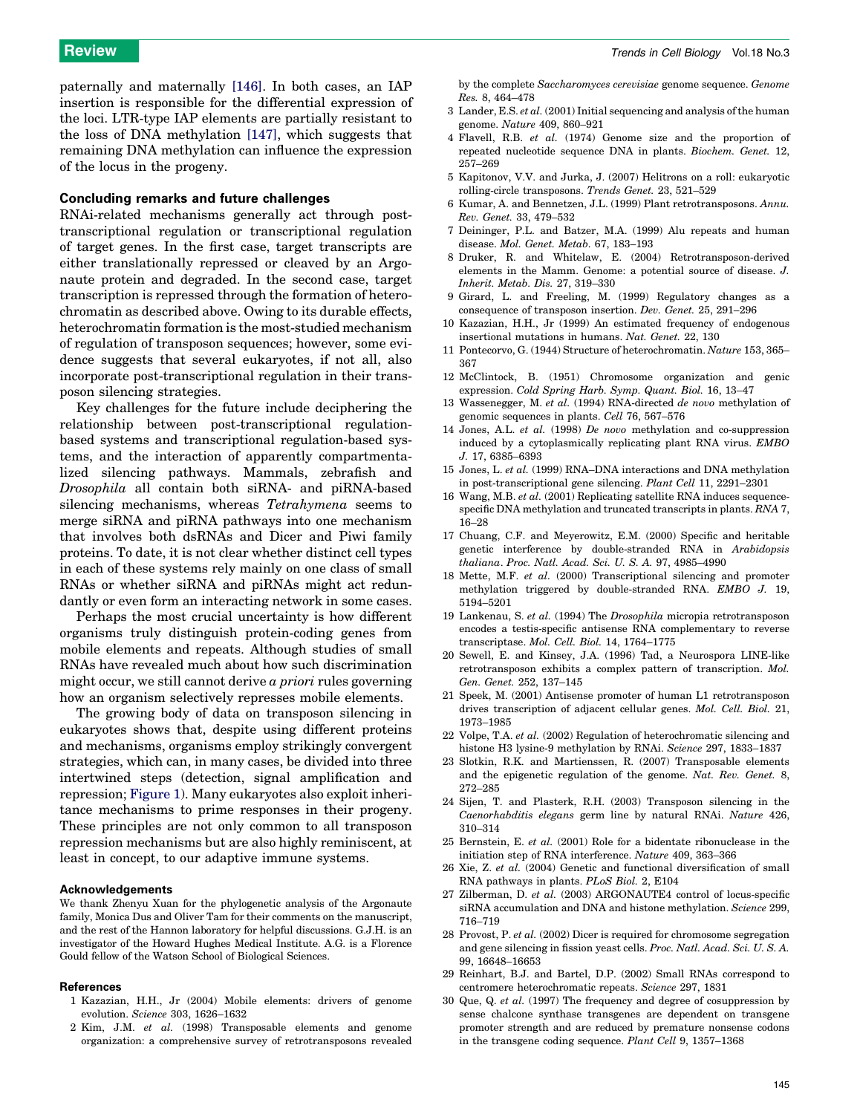<span id="page-9-0"></span>paternally and maternally [\[146\].](#page-12-0) In both cases, an IAP insertion is responsible for the differential expression of the loci. LTR-type IAP elements are partially resistant to the loss of DNA methylation [\[147\],](#page-12-0) which suggests that remaining DNA methylation can influence the expression of the locus in the progeny.

#### Concluding remarks and future challenges

RNAi-related mechanisms generally act through posttranscriptional regulation or transcriptional regulation of target genes. In the first case, target transcripts are either translationally repressed or cleaved by an Argonaute protein and degraded. In the second case, target transcription is repressed through the formation of heterochromatin as described above. Owing to its durable effects, heterochromatin formation is the most-studied mechanism of regulation of transposon sequences; however, some evidence suggests that several eukaryotes, if not all, also incorporate post-transcriptional regulation in their transposon silencing strategies.

Key challenges for the future include deciphering the relationship between post-transcriptional regulationbased systems and transcriptional regulation-based systems, and the interaction of apparently compartmentalized silencing pathways. Mammals, zebrafish and Drosophila all contain both siRNA- and piRNA-based silencing mechanisms, whereas Tetrahymena seems to merge siRNA and piRNA pathways into one mechanism that involves both dsRNAs and Dicer and Piwi family proteins. To date, it is not clear whether distinct cell types in each of these systems rely mainly on one class of small RNAs or whether siRNA and piRNAs might act redundantly or even form an interacting network in some cases.

Perhaps the most crucial uncertainty is how different organisms truly distinguish protein-coding genes from mobile elements and repeats. Although studies of small RNAs have revealed much about how such discrimination might occur, we still cannot derive a *priori* rules governing how an organism selectively represses mobile elements.

The growing body of data on transposon silencing in eukaryotes shows that, despite using different proteins and mechanisms, organisms employ strikingly convergent strategies, which can, in many cases, be divided into three intertwined steps (detection, signal amplification and repression; [Figure 1\)](#page-2-0). Many eukaryotes also exploit inheritance mechanisms to prime responses in their progeny. These principles are not only common to all transposon repression mechanisms but are also highly reminiscent, at least in concept, to our adaptive immune systems.

#### Acknowledgements

We thank Zhenyu Xuan for the phylogenetic analysis of the Argonaute family, Monica Dus and Oliver Tam for their comments on the manuscript, and the rest of the Hannon laboratory for helpful discussions. G.J.H. is an investigator of the Howard Hughes Medical Institute. A.G. is a Florence Gould fellow of the Watson School of Biological Sciences.

#### References

- 1 Kazazian, H.H., Jr (2004) Mobile elements: drivers of genome evolution. Science 303, 1626–1632
- 2 Kim, J.M. et al. (1998) Transposable elements and genome organization: a comprehensive survey of retrotransposons revealed

by the complete Saccharomyces cerevisiae genome sequence. Genome Res. 8, 464–478

- 3 Lander, E.S. et al. (2001) Initial sequencing and analysis of the human genome. Nature 409, 860–921
- 4 Flavell, R.B. et al. (1974) Genome size and the proportion of repeated nucleotide sequence DNA in plants. Biochem. Genet. 12, 257–269
- 5 Kapitonov, V.V. and Jurka, J. (2007) Helitrons on a roll: eukaryotic rolling-circle transposons. Trends Genet. 23, 521–529
- 6 Kumar, A. and Bennetzen, J.L. (1999) Plant retrotransposons. Annu. Rev. Genet. 33, 479–532
- 7 Deininger, P.L. and Batzer, M.A. (1999) Alu repeats and human disease. Mol. Genet. Metab. 67, 183–193
- 8 Druker, R. and Whitelaw, E. (2004) Retrotransposon-derived elements in the Mamm. Genome: a potential source of disease. J. Inherit. Metab. Dis. 27, 319–330
- 9 Girard, L. and Freeling, M. (1999) Regulatory changes as a consequence of transposon insertion. Dev. Genet. 25, 291–296
- 10 Kazazian, H.H., Jr (1999) An estimated frequency of endogenous insertional mutations in humans. Nat. Genet. 22, 130
- 11 Pontecorvo, G. (1944) Structure of heterochromatin. Nature 153, 365– 367
- 12 McClintock, B. (1951) Chromosome organization and genic expression. Cold Spring Harb. Symp. Quant. Biol. 16, 13–47
- 13 Wassenegger, M. et al. (1994) RNA-directed de novo methylation of genomic sequences in plants. Cell 76, 567–576
- 14 Jones, A.L. et al. (1998) De novo methylation and co-suppression induced by a cytoplasmically replicating plant RNA virus. EMBO J. 17, 6385–6393
- 15 Jones, L. et al. (1999) RNA–DNA interactions and DNA methylation in post-transcriptional gene silencing. Plant Cell 11, 2291–2301
- 16 Wang, M.B. et al. (2001) Replicating satellite RNA induces sequencespecific DNA methylation and truncated transcripts in plants. RNA 7, 16–28
- 17 Chuang, C.F. and Meyerowitz, E.M. (2000) Specific and heritable genetic interference by double-stranded RNA in Arabidopsis thaliana. Proc. Natl. Acad. Sci. U. S. A. 97, 4985–4990
- 18 Mette, M.F. et al. (2000) Transcriptional silencing and promoter methylation triggered by double-stranded RNA. EMBO J. 19, 5194–5201
- 19 Lankenau, S. et al. (1994) The Drosophila micropia retrotransposon encodes a testis-specific antisense RNA complementary to reverse transcriptase. Mol. Cell. Biol. 14, 1764–1775
- 20 Sewell, E. and Kinsey, J.A. (1996) Tad, a Neurospora LINE-like retrotransposon exhibits a complex pattern of transcription. Mol. Gen. Genet. 252, 137–145
- 21 Speek, M. (2001) Antisense promoter of human L1 retrotransposon drives transcription of adjacent cellular genes. Mol. Cell. Biol. 21, 1973–1985
- 22 Volpe, T.A. et al. (2002) Regulation of heterochromatic silencing and histone H3 lysine-9 methylation by RNAi. Science 297, 1833–1837
- 23 Slotkin, R.K. and Martienssen, R. (2007) Transposable elements and the epigenetic regulation of the genome. Nat. Rev. Genet. 8, 272–285
- 24 Sijen, T. and Plasterk, R.H. (2003) Transposon silencing in the Caenorhabditis elegans germ line by natural RNAi. Nature 426, 310–314
- 25 Bernstein, E. et al. (2001) Role for a bidentate ribonuclease in the initiation step of RNA interference. Nature 409, 363–366
- Xie, Z. et al. (2004) Genetic and functional diversification of small RNA pathways in plants. PLoS Biol. 2, E104
- 27 Zilberman, D. et al. (2003) ARGONAUTE4 control of locus-specific siRNA accumulation and DNA and histone methylation. Science 299, 716–719
- 28 Provost, P. et al. (2002) Dicer is required for chromosome segregation and gene silencing in fission yeast cells. Proc. Natl. Acad. Sci. U. S. A. 99, 16648–16653
- 29 Reinhart, B.J. and Bartel, D.P. (2002) Small RNAs correspond to centromere heterochromatic repeats. Science 297, 1831
- 30 Que, Q. et al. (1997) The frequency and degree of cosuppression by sense chalcone synthase transgenes are dependent on transgene promoter strength and are reduced by premature nonsense codons in the transgene coding sequence. Plant Cell 9, 1357–1368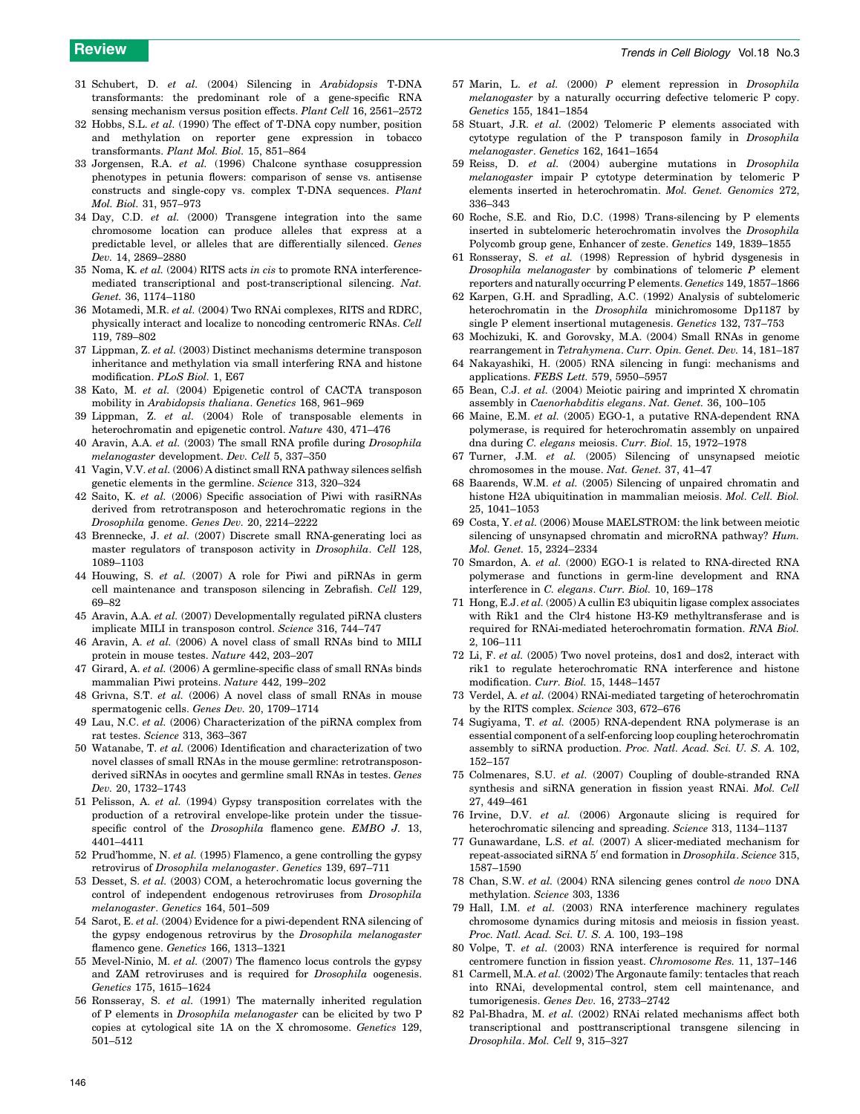- <span id="page-10-0"></span>31 Schubert, D. et al. (2004) Silencing in Arabidopsis T-DNA transformants: the predominant role of a gene-specific RNA sensing mechanism versus position effects. Plant Cell 16, 2561–2572
- 32 Hobbs, S.L. et al. (1990) The effect of T-DNA copy number, position and methylation on reporter gene expression in tobacco transformants. Plant Mol. Biol. 15, 851–864
- 33 Jorgensen, R.A. et al. (1996) Chalcone synthase cosuppression phenotypes in petunia flowers: comparison of sense vs. antisense constructs and single-copy vs. complex T-DNA sequences. Plant Mol. Biol. 31, 957–973
- 34 Day, C.D. et al. (2000) Transgene integration into the same chromosome location can produce alleles that express at a predictable level, or alleles that are differentially silenced. Genes Dev. 14, 2869–2880
- 35 Noma, K. et al. (2004) RITS acts in cis to promote RNA interferencemediated transcriptional and post-transcriptional silencing. Nat. Genet. 36, 1174–1180
- 36 Motamedi, M.R. et al. (2004) Two RNAi complexes, RITS and RDRC, physically interact and localize to noncoding centromeric RNAs. Cell 119, 789–802
- 37 Lippman, Z. et al. (2003) Distinct mechanisms determine transposon inheritance and methylation via small interfering RNA and histone modification. PLoS Biol. 1, E67
- 38 Kato, M. et al. (2004) Epigenetic control of CACTA transposon mobility in Arabidopsis thaliana. Genetics 168, 961–969
- 39 Lippman, Z. et al. (2004) Role of transposable elements in heterochromatin and epigenetic control. Nature 430, 471–476
- 40 Aravin, A.A. et al. (2003) The small RNA profile during Drosophila melanogaster development. Dev. Cell 5, 337–350
- 41 Vagin, V.V. et al. (2006) A distinct small RNA pathway silences selfish genetic elements in the germline. Science 313, 320–324
- 42 Saito, K. et al. (2006) Specific association of Piwi with rasiRNAs derived from retrotransposon and heterochromatic regions in the Drosophila genome. Genes Dev. 20, 2214–2222
- 43 Brennecke, J. et al. (2007) Discrete small RNA-generating loci as master regulators of transposon activity in Drosophila. Cell 128, 1089–1103
- 44 Houwing, S. et al. (2007) A role for Piwi and piRNAs in germ cell maintenance and transposon silencing in Zebrafish. Cell 129, 69–82
- 45 Aravin, A.A. et al. (2007) Developmentally regulated piRNA clusters implicate MILI in transposon control. Science 316, 744–747
- 46 Aravin, A. et al. (2006) A novel class of small RNAs bind to MILI protein in mouse testes. Nature 442, 203–207
- 47 Girard, A. et al. (2006) A germline-specific class of small RNAs binds mammalian Piwi proteins. Nature 442, 199–202
- 48 Grivna, S.T. et al. (2006) A novel class of small RNAs in mouse spermatogenic cells. Genes Dev. 20, 1709–1714
- 49 Lau, N.C. et al. (2006) Characterization of the piRNA complex from rat testes. Science 313, 363–367
- 50 Watanabe, T. et al. (2006) Identification and characterization of two novel classes of small RNAs in the mouse germline: retrotransposonderived siRNAs in oocytes and germline small RNAs in testes. Genes Dev. 20, 1732–1743
- 51 Pelisson, A. et al. (1994) Gypsy transposition correlates with the production of a retroviral envelope-like protein under the tissuespecific control of the Drosophila flamenco gene. EMBO J. 13, 4401–4411
- 52 Prud'homme, N. et al. (1995) Flamenco, a gene controlling the gypsy retrovirus of Drosophila melanogaster. Genetics 139, 697–711
- 53 Desset, S. et al. (2003) COM, a heterochromatic locus governing the control of independent endogenous retroviruses from Drosophila melanogaster. Genetics 164, 501–509
- 54 Sarot, E. et al. (2004) Evidence for a piwi-dependent RNA silencing of the gypsy endogenous retrovirus by the Drosophila melanogaster flamenco gene. Genetics 166, 1313–1321
- 55 Mevel-Ninio, M. et al. (2007) The flamenco locus controls the gypsy and ZAM retroviruses and is required for Drosophila oogenesis. Genetics 175, 1615–1624
- 56 Ronsseray, S. et al. (1991) The maternally inherited regulation of P elements in Drosophila melanogaster can be elicited by two P copies at cytological site 1A on the X chromosome. Genetics 129, 501–512
- 57 Marin, L. et al. (2000) P element repression in Drosophila melanogaster by a naturally occurring defective telomeric P copy. Genetics 155, 1841–1854
- 58 Stuart, J.R. et al. (2002) Telomeric P elements associated with cytotype regulation of the P transposon family in Drosophila melanogaster. Genetics 162, 1641–1654
- 59 Reiss, D. et al. (2004) aubergine mutations in Drosophila melanogaster impair P cytotype determination by telomeric P elements inserted in heterochromatin. Mol. Genet. Genomics 272, 336–343
- 60 Roche, S.E. and Rio, D.C. (1998) Trans-silencing by P elements inserted in subtelomeric heterochromatin involves the Drosophila Polycomb group gene, Enhancer of zeste. Genetics 149, 1839–1855
- 61 Ronsseray, S. et al. (1998) Repression of hybrid dysgenesis in Drosophila melanogaster by combinations of telomeric P element reporters and naturally occurring P elements. Genetics 149, 1857–1866
- 62 Karpen, G.H. and Spradling, A.C. (1992) Analysis of subtelomeric heterochromatin in the Drosophila minichromosome Dp1187 by single P element insertional mutagenesis. Genetics 132, 737–753
- 63 Mochizuki, K. and Gorovsky, M.A. (2004) Small RNAs in genome rearrangement in Tetrahymena. Curr. Opin. Genet. Dev. 14, 181–187
- 64 Nakayashiki, H. (2005) RNA silencing in fungi: mechanisms and applications. FEBS Lett. 579, 5950–5957
- 65 Bean, C.J. et al. (2004) Meiotic pairing and imprinted X chromatin assembly in Caenorhabditis elegans. Nat. Genet. 36, 100–105
- 66 Maine, E.M. et al. (2005) EGO-1, a putative RNA-dependent RNA polymerase, is required for heterochromatin assembly on unpaired dna during C. elegans meiosis. Curr. Biol. 15, 1972–1978
- 67 Turner, J.M. et al. (2005) Silencing of unsynapsed meiotic chromosomes in the mouse. Nat. Genet. 37, 41–47
- 68 Baarends, W.M. et al. (2005) Silencing of unpaired chromatin and histone H2A ubiquitination in mammalian meiosis. Mol. Cell. Biol. 25, 1041–1053
- 69 Costa, Y. et al. (2006) Mouse MAELSTROM: the link between meiotic silencing of unsynapsed chromatin and microRNA pathway? Hum. Mol. Genet. 15, 2324–2334
- 70 Smardon, A. et al. (2000) EGO-1 is related to RNA-directed RNA polymerase and functions in germ-line development and RNA interference in C. elegans. Curr. Biol. 10, 169–178
- 71 Hong, E.J. et al. (2005) A cullin E3 ubiquitin ligase complex associates with Rik1 and the Clr4 histone H3-K9 methyltransferase and is required for RNAi-mediated heterochromatin formation. RNA Biol. 2, 106–111
- 72 Li, F. et al. (2005) Two novel proteins, dos1 and dos2, interact with rik1 to regulate heterochromatic RNA interference and histone modification. Curr. Biol. 15, 1448–1457
- 73 Verdel, A. et al. (2004) RNAi-mediated targeting of heterochromatin by the RITS complex. Science 303, 672–676
- 74 Sugiyama, T. et al. (2005) RNA-dependent RNA polymerase is an essential component of a self-enforcing loop coupling heterochromatin assembly to siRNA production. Proc. Natl. Acad. Sci. U. S. A. 102, 152–157
- 75 Colmenares, S.U. et al. (2007) Coupling of double-stranded RNA synthesis and siRNA generation in fission yeast RNAi. Mol. Cell 27, 449–461
- 76 Irvine, D.V. et al. (2006) Argonaute slicing is required for heterochromatic silencing and spreading. Science 313, 1134–1137
- 77 Gunawardane, L.S. et al. (2007) A slicer-mediated mechanism for repeat-associated siRNA 5' end formation in Drosophila. Science 315, 1587–1590
- 78 Chan, S.W. et al. (2004) RNA silencing genes control de novo DNA methylation. Science 303, 1336
- 79 Hall, I.M. et al. (2003) RNA interference machinery regulates chromosome dynamics during mitosis and meiosis in fission yeast. Proc. Natl. Acad. Sci. U. S. A. 100, 193–198
- 80 Volpe, T. et al. (2003) RNA interference is required for normal centromere function in fission yeast. Chromosome Res. 11, 137–146
- 81 Carmell, M.A. et al. (2002) The Argonaute family: tentacles that reach into RNAi, developmental control, stem cell maintenance, and tumorigenesis. Genes Dev. 16, 2733–2742
- 82 Pal-Bhadra, M. et al. (2002) RNAi related mechanisms affect both transcriptional and posttranscriptional transgene silencing in Drosophila. Mol. Cell 9, 315–327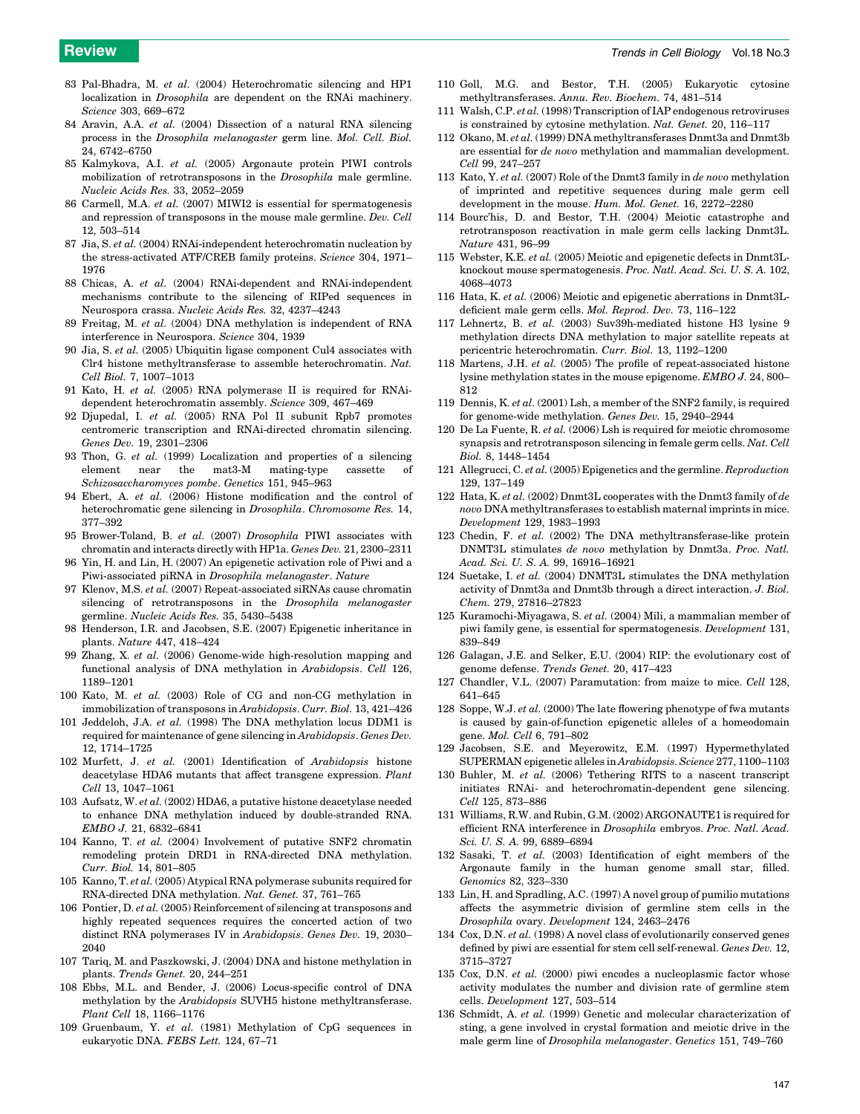- <span id="page-11-0"></span>83 Pal-Bhadra, M. et al. (2004) Heterochromatic silencing and HP1 localization in Drosophila are dependent on the RNAi machinery. Science 303, 669–672
- 84 Aravin, A.A. et al. (2004) Dissection of a natural RNA silencing process in the Drosophila melanogaster germ line. Mol. Cell. Biol. 24, 6742–6750
- 85 Kalmykova, A.I. et al. (2005) Argonaute protein PIWI controls mobilization of retrotransposons in the Drosophila male germline. Nucleic Acids Res. 33, 2052–2059
- 86 Carmell, M.A. et al. (2007) MIWI2 is essential for spermatogenesis and repression of transposons in the mouse male germline. Dev. Cell 12, 503–514
- 87 Jia, S. et al. (2004) RNAi-independent heterochromatin nucleation by the stress-activated ATF/CREB family proteins. Science 304, 1971– 1976
- 88 Chicas, A. et al. (2004) RNAi-dependent and RNAi-independent mechanisms contribute to the silencing of RIPed sequences in Neurospora crassa. Nucleic Acids Res. 32, 4237–4243
- 89 Freitag, M. et al. (2004) DNA methylation is independent of RNA interference in Neurospora. Science 304, 1939
- 90 Jia, S. et al. (2005) Ubiquitin ligase component Cul4 associates with Clr4 histone methyltransferase to assemble heterochromatin. Nat. Cell Biol. 7, 1007–1013
- 91 Kato, H. et al. (2005) RNA polymerase II is required for RNAidependent heterochromatin assembly. Science 309, 467–469
- 92 Djupedal, I. et al. (2005) RNA Pol II subunit Rpb7 promotes centromeric transcription and RNAi-directed chromatin silencing. Genes Dev. 19, 2301–2306
- 93 Thon, G. et al. (1999) Localization and properties of a silencing element near the mat3-M mating-type cassette of Schizosaccharomyces pombe. Genetics 151, 945–963
- 94 Ebert, A. et al. (2006) Histone modification and the control of heterochromatic gene silencing in Drosophila. Chromosome Res. 14, 377–392
- 95 Brower-Toland, B. et al. (2007) Drosophila PIWI associates with chromatin and interacts directly with HP1a. Genes Dev. 21, 2300–2311
- 96 Yin, H. and Lin, H. (2007) An epigenetic activation role of Piwi and a Piwi-associated piRNA in Drosophila melanogaster. Nature
- 97 Klenov, M.S. et al. (2007) Repeat-associated siRNAs cause chromatin silencing of retrotransposons in the Drosophila melanogaster germline. Nucleic Acids Res. 35, 5430–5438
- 98 Henderson, I.R. and Jacobsen, S.E. (2007) Epigenetic inheritance in plants. Nature 447, 418–424
- 99 Zhang, X. et al. (2006) Genome-wide high-resolution mapping and functional analysis of DNA methylation in Arabidopsis. Cell 126, 1189–1201
- 100 Kato, M. et al. (2003) Role of CG and non-CG methylation in immobilization of transposons in Arabidopsis. Curr. Biol. 13, 421–426
- 101 Jeddeloh, J.A. et al. (1998) The DNA methylation locus DDM1 is required for maintenance of gene silencing in Arabidopsis. Genes Dev. 12, 1714–1725
- 102 Murfett, J. et al. (2001) Identification of Arabidopsis histone deacetylase HDA6 mutants that affect transgene expression. Plant Cell 13, 1047–1061
- 103 Aufsatz, W. et al. (2002) HDA6, a putative histone deacetylase needed to enhance DNA methylation induced by double-stranded RNA. EMBO J. 21, 6832–6841
- 104 Kanno, T. et al. (2004) Involvement of putative SNF2 chromatin remodeling protein DRD1 in RNA-directed DNA methylation. Curr. Biol. 14, 801–805
- 105 Kanno, T. et al. (2005) Atypical RNA polymerase subunits required for RNA-directed DNA methylation. Nat. Genet. 37, 761–765
- 106 Pontier, D. et al. (2005) Reinforcement of silencing at transposons and highly repeated sequences requires the concerted action of two distinct RNA polymerases IV in Arabidopsis. Genes Dev. 19, 2030– 2040
- 107 Tariq, M. and Paszkowski, J. (2004) DNA and histone methylation in plants. Trends Genet. 20, 244–251
- 108 Ebbs, M.L. and Bender, J. (2006) Locus-specific control of DNA methylation by the Arabidopsis SUVH5 histone methyltransferase. Plant Cell 18, 1166–1176
- 109 Gruenbaum, Y. et al. (1981) Methylation of CpG sequences in eukaryotic DNA. FEBS Lett. 124, 67–71
- 110 Goll, M.G. and Bestor, T.H. (2005) Eukaryotic cytosine methyltransferases. Annu. Rev. Biochem. 74, 481–514
- 111 Walsh, C.P. et al. (1998) Transcription of IAP endogenous retroviruses is constrained by cytosine methylation. Nat. Genet. 20, 116–117
- 112 Okano, M. et al. (1999) DNA methyltransferases Dnmt3a and Dnmt3b are essential for de novo methylation and mammalian development. Cell 99, 247–257
- 113 Kato, Y. et al. (2007) Role of the Dnmt3 family in de novo methylation of imprinted and repetitive sequences during male germ cell development in the mouse. Hum. Mol. Genet. 16, 2272–2280
- 114 Bourc'his, D. and Bestor, T.H. (2004) Meiotic catastrophe and retrotransposon reactivation in male germ cells lacking Dnmt3L. Nature 431, 96–99
- 115 Webster, K.E. et al. (2005) Meiotic and epigenetic defects in Dnmt3Lknockout mouse spermatogenesis. Proc. Natl. Acad. Sci. U. S. A. 102, 4068–4073
- 116 Hata, K. et al. (2006) Meiotic and epigenetic aberrations in Dnmt3Ldeficient male germ cells. Mol. Reprod. Dev. 73, 116–122
- 117 Lehnertz, B. et al. (2003) Suv39h-mediated histone H3 lysine 9 methylation directs DNA methylation to major satellite repeats at pericentric heterochromatin. Curr. Biol. 13, 1192–1200
- 118 Martens, J.H. et al. (2005) The profile of repeat-associated histone lysine methylation states in the mouse epigenome. EMBO J. 24, 800– 812
- 119 Dennis, K. et al. (2001) Lsh, a member of the SNF2 family, is required for genome-wide methylation. Genes Dev. 15, 2940–2944
- 120 De La Fuente, R. et al. (2006) Lsh is required for meiotic chromosome synapsis and retrotransposon silencing in female germ cells. Nat. Cell Biol. 8, 1448–1454
- 121 Allegrucci, C. et al. (2005) Epigenetics and the germline. Reproduction 129, 137–149
- 122 Hata, K. et al. (2002) Dnmt3L cooperates with the Dnmt3 family of de novo DNA methyltransferases to establish maternal imprints in mice. Development 129, 1983–1993
- 123 Chedin, F. et al. (2002) The DNA methyltransferase-like protein DNMT3L stimulates de novo methylation by Dnmt3a. Proc. Natl. Acad. Sci. U. S. A. 99, 16916–16921
- 124 Suetake, I. et al. (2004) DNMT3L stimulates the DNA methylation activity of Dnmt3a and Dnmt3b through a direct interaction. J. Biol. Chem. 279, 27816–27823
- 125 Kuramochi-Miyagawa, S. et al. (2004) Mili, a mammalian member of piwi family gene, is essential for spermatogenesis. Development 131, 839–849
- 126 Galagan, J.E. and Selker, E.U. (2004) RIP: the evolutionary cost of genome defense. Trends Genet. 20, 417–423
- 127 Chandler, V.L. (2007) Paramutation: from maize to mice. Cell 128, 641–645
- 128 Soppe, W.J. et al. (2000) The late flowering phenotype of fwa mutants is caused by gain-of-function epigenetic alleles of a homeodomain gene. Mol. Cell 6, 791–802
- 129 Jacobsen, S.E. and Meyerowitz, E.M. (1997) Hypermethylated SUPERMAN epigenetic alleles in Arabidopsis. Science 277, 1100–1103
- 130 Buhler, M. et al. (2006) Tethering RITS to a nascent transcript initiates RNAi- and heterochromatin-dependent gene silencing. Cell 125, 873–886
- 131 Williams, R.W. and Rubin, G.M. (2002) ARGONAUTE1 is required for efficient RNA interference in Drosophila embryos. Proc. Natl. Acad. Sci. U. S. A. 99, 6889–6894
- 132 Sasaki, T. et al. (2003) Identification of eight members of the Argonaute family in the human genome small star, filled. Genomics 82, 323–330
- 133 Lin, H. and Spradling, A.C. (1997) A novel group of pumilio mutations affects the asymmetric division of germline stem cells in the Drosophila ovary. Development 124, 2463–2476
- 134 Cox, D.N. et al. (1998) A novel class of evolutionarily conserved genes defined by piwi are essential for stem cell self-renewal. Genes Dev. 12, 3715–3727
- 135 Cox, D.N. et al. (2000) piwi encodes a nucleoplasmic factor whose activity modulates the number and division rate of germline stem cells. Development 127, 503–514
- 136 Schmidt, A. et al. (1999) Genetic and molecular characterization of sting, a gene involved in crystal formation and meiotic drive in the male germ line of Drosophila melanogaster. Genetics 151, 749–760